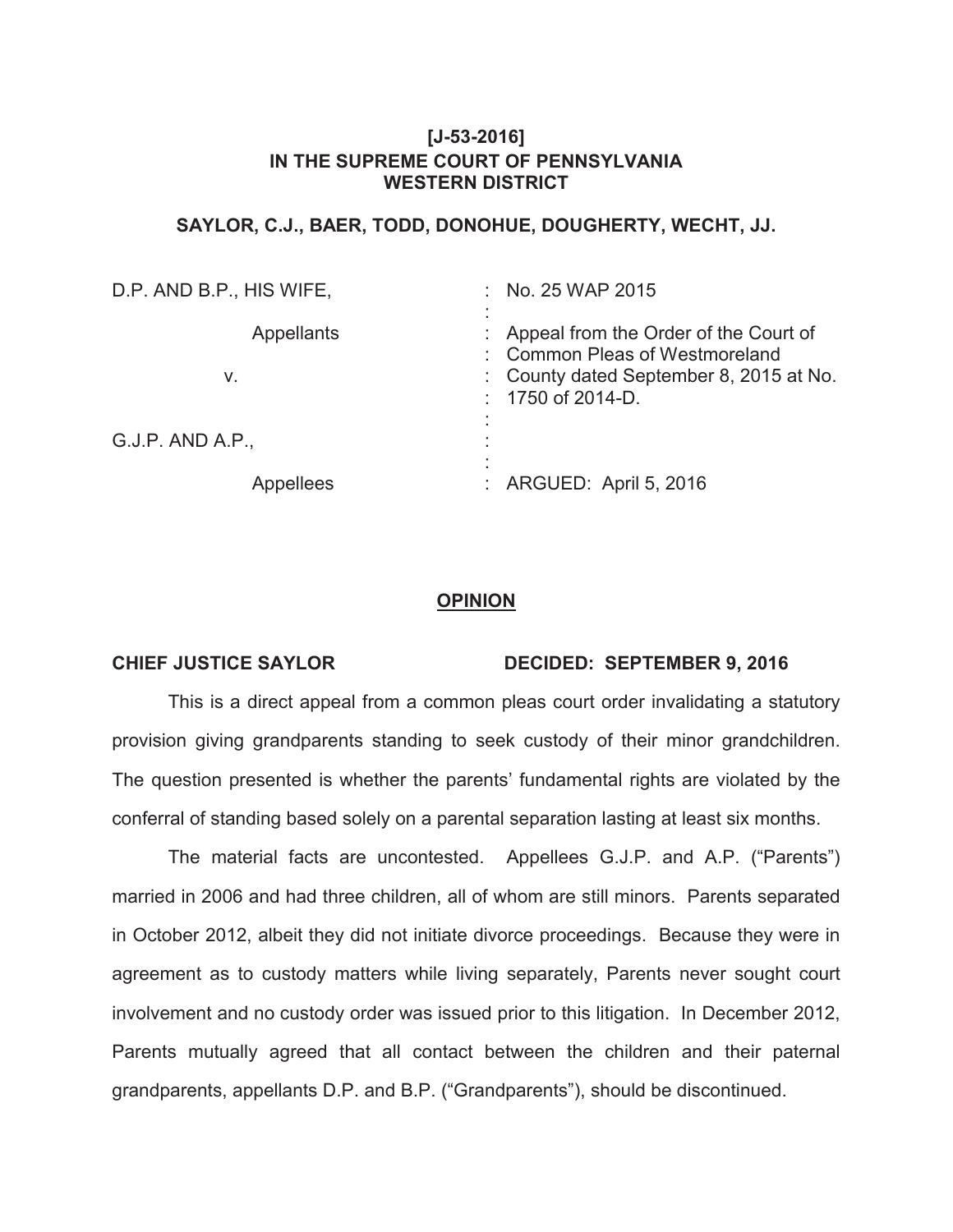# **[J-53-2016] IN THE SUPREME COURT OF PENNSYLVANIA WESTERN DISTRICT**

## **SAYLOR, C.J., BAER, TODD, DONOHUE, DOUGHERTY, WECHT, JJ.**

| D.P. AND B.P., HIS WIFE, | No. 25 WAP 2015<br><b>Participa</b>                                     |
|--------------------------|-------------------------------------------------------------------------|
| <b>Appellants</b>        | Appeal from the Order of the Court of<br>: Common Pleas of Westmoreland |
| V.                       | : County dated September 8, 2015 at No.<br>$: 1750$ of 2014-D.          |
| $G.J.P.$ AND A.P.,       |                                                                         |
| Appellees                | : ARGUED: April 5, 2016                                                 |

## **OPINION**

### **CHIEF JUSTICE SAYLOR DECIDED: SEPTEMBER 9, 2016**

This is a direct appeal from a common pleas court order invalidating a statutory provision giving grandparents standing to seek custody of their minor grandchildren. The question presented is whether the parents' fundamental rights are violated by the conferral of standing based solely on a parental separation lasting at least six months.

The material facts are uncontested. Appellees G.J.P. and A.P. ("Parents") married in 2006 and had three children, all of whom are still minors. Parents separated in October 2012, albeit they did not initiate divorce proceedings. Because they were in agreement as to custody matters while living separately, Parents never sought court involvement and no custody order was issued prior to this litigation. In December 2012, Parents mutually agreed that all contact between the children and their paternal grandparents, appellants D.P. and B.P. ("Grandparents"), should be discontinued.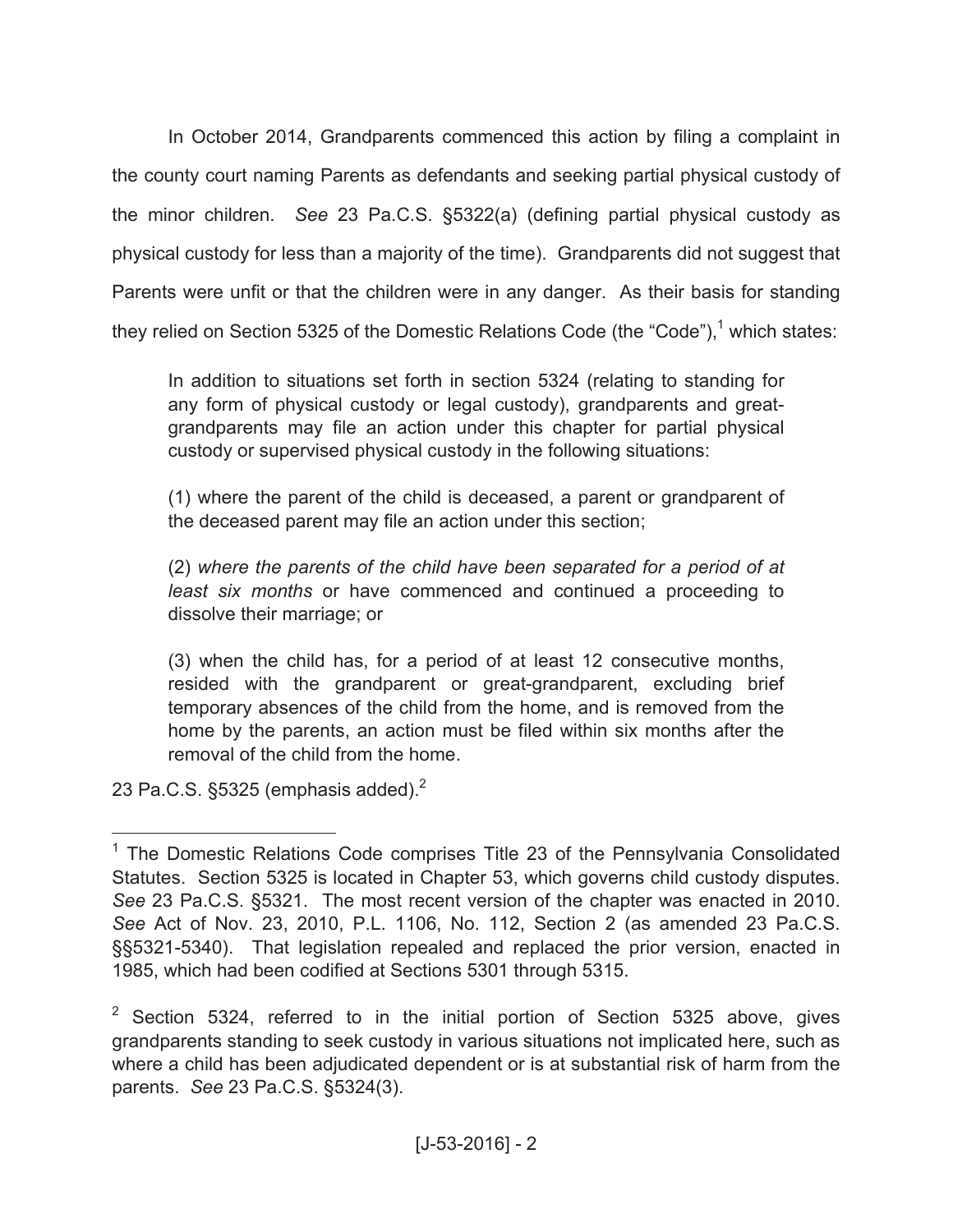In October 2014, Grandparents commenced this action by filing a complaint in the county court naming Parents as defendants and seeking partial physical custody of the minor children. *See* 23 Pa.C.S. §5322(a) (defining partial physical custody as physical custody for less than a majority of the time). Grandparents did not suggest that Parents were unfit or that the children were in any danger. As their basis for standing they relied on Section 5325 of the Domestic Relations Code (the "Code"),<sup>1</sup> which states:

In addition to situations set forth in section 5324 (relating to standing for any form of physical custody or legal custody), grandparents and greatgrandparents may file an action under this chapter for partial physical custody or supervised physical custody in the following situations:

(1) where the parent of the child is deceased, a parent or grandparent of the deceased parent may file an action under this section;

(2) *where the parents of the child have been separated for a period of at least six months* or have commenced and continued a proceeding to dissolve their marriage; or

(3) when the child has, for a period of at least 12 consecutive months, resided with the grandparent or great-grandparent, excluding brief temporary absences of the child from the home, and is removed from the home by the parents, an action must be filed within six months after the removal of the child from the home.

23 Pa.C.S.  $\S$ 5325 (emphasis added).<sup>2</sup>

<sup>&</sup>lt;sup>1</sup> The Domestic Relations Code comprises Title 23 of the Pennsylvania Consolidated Statutes. Section 5325 is located in Chapter 53, which governs child custody disputes. *See* 23 Pa.C.S. §5321. The most recent version of the chapter was enacted in 2010. *See* Act of Nov. 23, 2010, P.L. 1106, No. 112, Section 2 (as amended 23 Pa.C.S. §§5321-5340). That legislation repealed and replaced the prior version, enacted in 1985, which had been codified at Sections 5301 through 5315.

 $2$  Section 5324, referred to in the initial portion of Section 5325 above, gives grandparents standing to seek custody in various situations not implicated here, such as where a child has been adjudicated dependent or is at substantial risk of harm from the parents. *See* 23 Pa.C.S. §5324(3).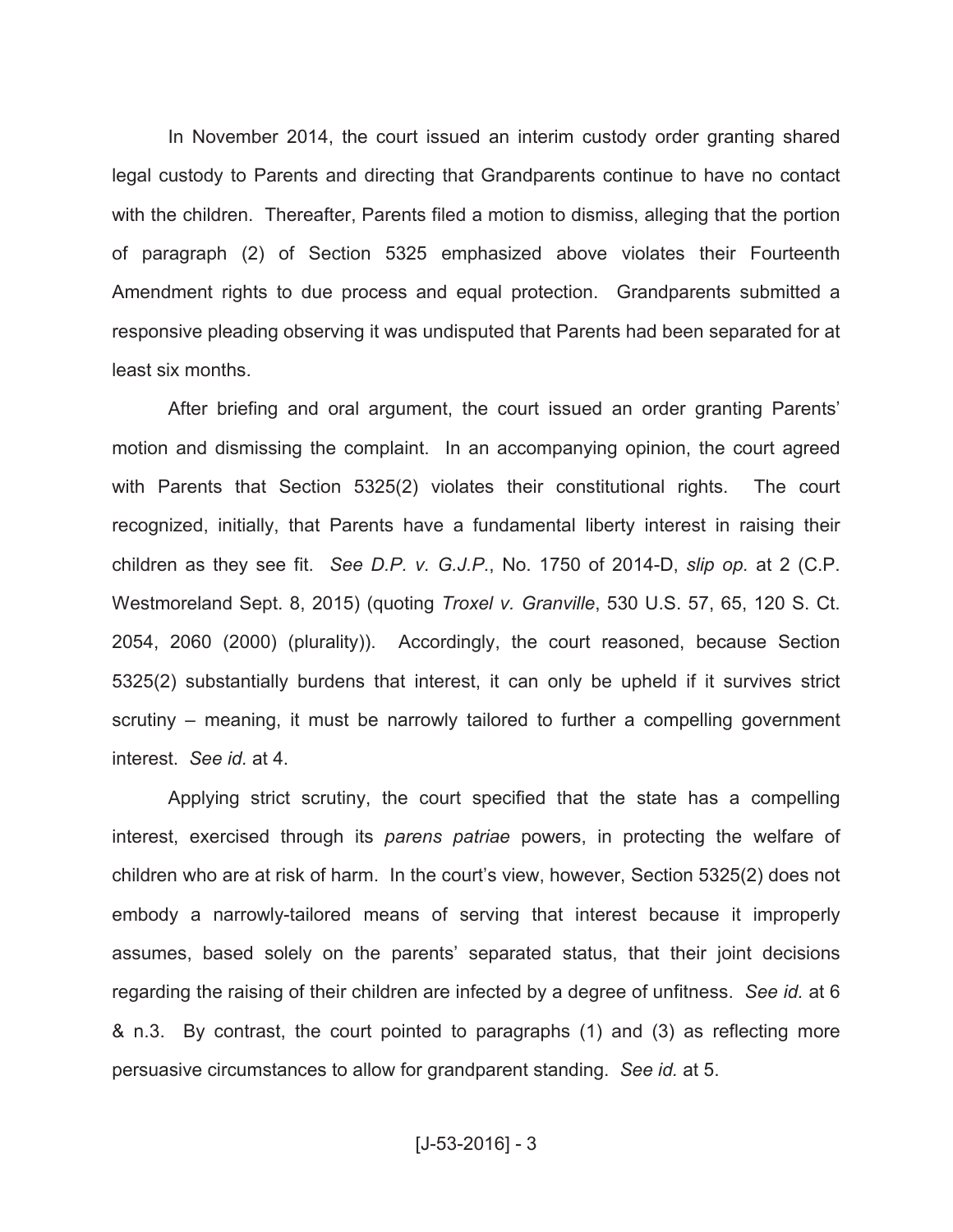In November 2014, the court issued an interim custody order granting shared legal custody to Parents and directing that Grandparents continue to have no contact with the children. Thereafter, Parents filed a motion to dismiss, alleging that the portion of paragraph (2) of Section 5325 emphasized above violates their Fourteenth Amendment rights to due process and equal protection. Grandparents submitted a responsive pleading observing it was undisputed that Parents had been separated for at least six months.

After briefing and oral argument, the court issued an order granting Parents' motion and dismissing the complaint. In an accompanying opinion, the court agreed with Parents that Section 5325(2) violates their constitutional rights. The court recognized, initially, that Parents have a fundamental liberty interest in raising their children as they see fit. *See D.P. v. G.J.P.*, No. 1750 of 2014-D, *slip op.* at 2 (C.P. Westmoreland Sept. 8, 2015) (quoting *Troxel v. Granville*, 530 U.S. 57, 65, 120 S. Ct. 2054, 2060 (2000) (plurality)). Accordingly, the court reasoned, because Section 5325(2) substantially burdens that interest, it can only be upheld if it survives strict scrutiny – meaning, it must be narrowly tailored to further a compelling government interest. *See id.* at 4.

Applying strict scrutiny, the court specified that the state has a compelling interest, exercised through its *parens patriae* powers, in protecting the welfare of children who are at risk of harm. In the court's view, however, Section 5325(2) does not embody a narrowly-tailored means of serving that interest because it improperly assumes, based solely on the parents' separated status, that their joint decisions regarding the raising of their children are infected by a degree of unfitness. *See id.* at 6 & n.3. By contrast, the court pointed to paragraphs (1) and (3) as reflecting more persuasive circumstances to allow for grandparent standing. *See id.* at 5.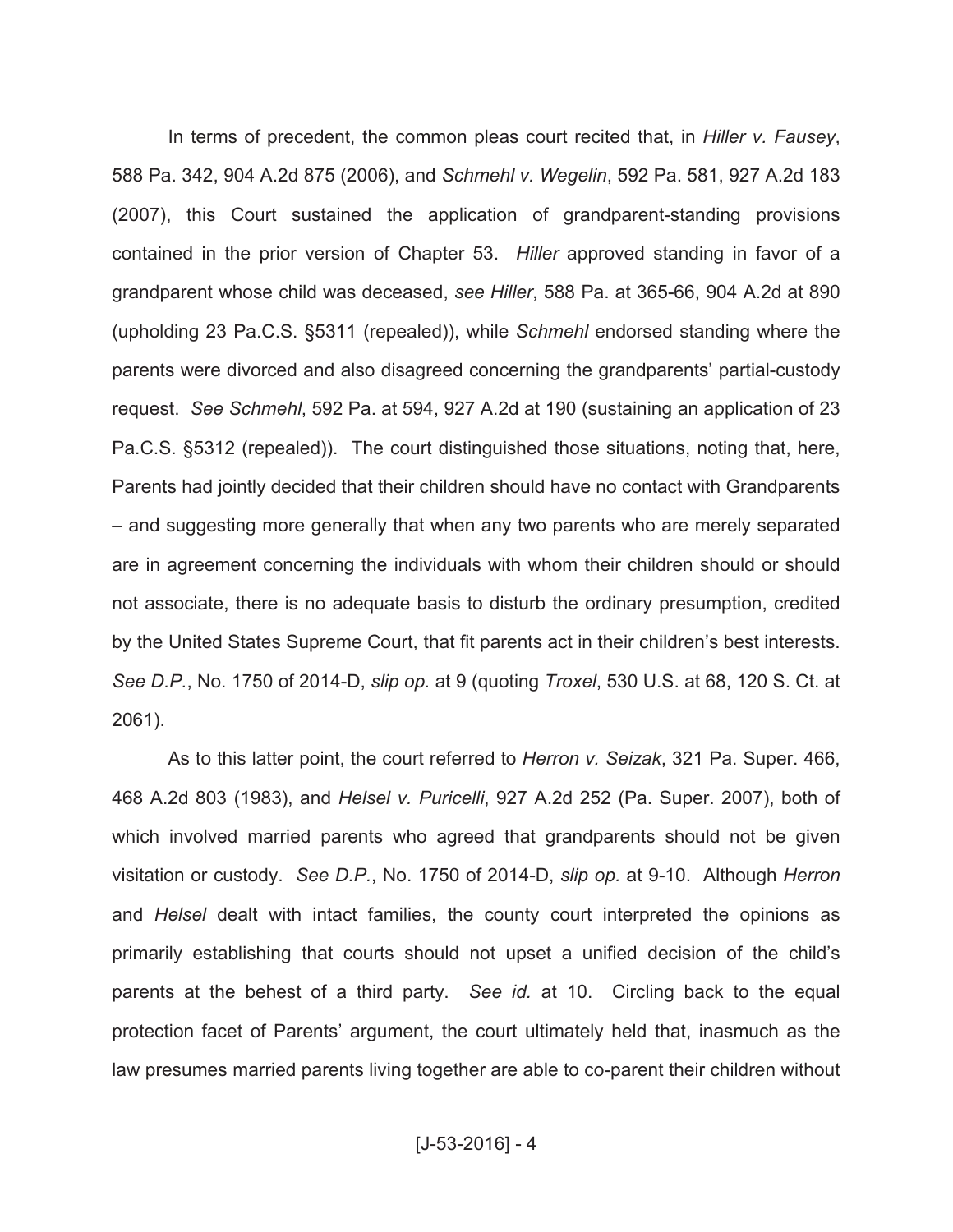In terms of precedent, the common pleas court recited that, in *Hiller v. Fausey*, 588 Pa. 342, 904 A.2d 875 (2006), and *Schmehl v. Wegelin*, 592 Pa. 581, 927 A.2d 183 (2007), this Court sustained the application of grandparent-standing provisions contained in the prior version of Chapter 53. *Hiller* approved standing in favor of a grandparent whose child was deceased, *see Hiller*, 588 Pa. at 365-66, 904 A.2d at 890 (upholding 23 Pa.C.S. §5311 (repealed)), while *Schmehl* endorsed standing where the parents were divorced and also disagreed concerning the grandparents' partial-custody request. *See Schmehl*, 592 Pa. at 594, 927 A.2d at 190 (sustaining an application of 23 Pa.C.S. §5312 (repealed)). The court distinguished those situations, noting that, here, Parents had jointly decided that their children should have no contact with Grandparents – and suggesting more generally that when any two parents who are merely separated are in agreement concerning the individuals with whom their children should or should not associate, there is no adequate basis to disturb the ordinary presumption, credited by the United States Supreme Court, that fit parents act in their children's best interests. *See D.P.*, No. 1750 of 2014-D, *slip op.* at 9 (quoting *Troxel*, 530 U.S. at 68, 120 S. Ct. at 2061).

As to this latter point, the court referred to *Herron v. Seizak*, 321 Pa. Super. 466, 468 A.2d 803 (1983), and *Helsel v. Puricelli*, 927 A.2d 252 (Pa. Super. 2007), both of which involved married parents who agreed that grandparents should not be given visitation or custody. *See D.P.*, No. 1750 of 2014-D, *slip op.* at 9-10. Although *Herron* and *Helsel* dealt with intact families, the county court interpreted the opinions as primarily establishing that courts should not upset a unified decision of the child's parents at the behest of a third party. *See id.* at 10. Circling back to the equal protection facet of Parents' argument, the court ultimately held that, inasmuch as the law presumes married parents living together are able to co-parent their children without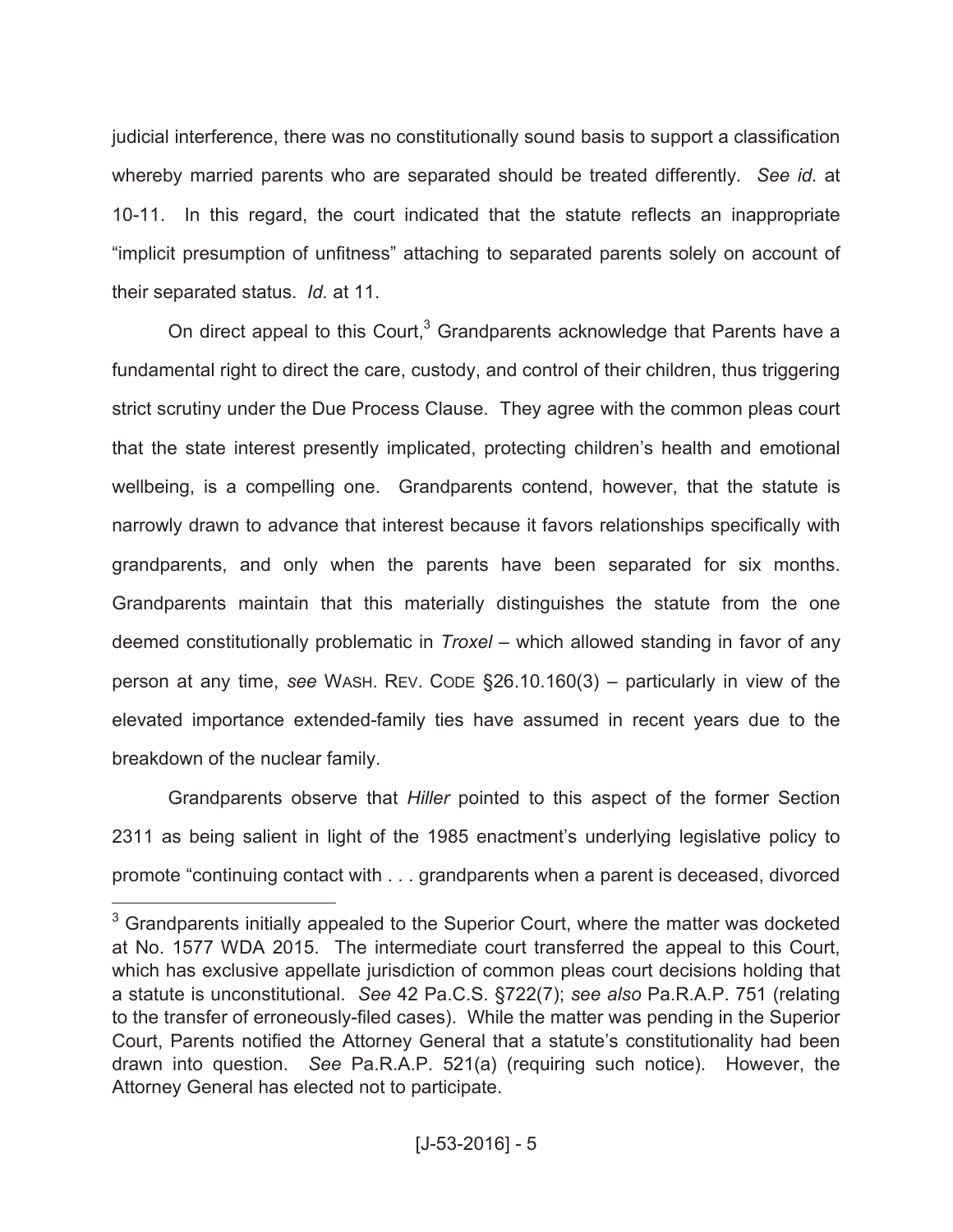judicial interference, there was no constitutionally sound basis to support a classification whereby married parents who are separated should be treated differently. *See id.* at 10-11. In this regard, the court indicated that the statute reflects an inappropriate "implicit presumption of unfitness" attaching to separated parents solely on account of their separated status. *Id.* at 11.

On direct appeal to this Court, $3$  Grandparents acknowledge that Parents have a fundamental right to direct the care, custody, and control of their children, thus triggering strict scrutiny under the Due Process Clause. They agree with the common pleas court that the state interest presently implicated, protecting children's health and emotional wellbeing, is a compelling one. Grandparents contend, however, that the statute is narrowly drawn to advance that interest because it favors relationships specifically with grandparents, and only when the parents have been separated for six months. Grandparents maintain that this materially distinguishes the statute from the one deemed constitutionally problematic in *Troxel* – which allowed standing in favor of any person at any time, *see* WASH. REV. CODE §26.10.160(3) – particularly in view of the elevated importance extended-family ties have assumed in recent years due to the breakdown of the nuclear family.

Grandparents observe that *Hiller* pointed to this aspect of the former Section 2311 as being salient in light of the 1985 enactment's underlying legislative policy to promote "continuing contact with . . . grandparents when a parent is deceased, divorced

 $3$  Grandparents initially appealed to the Superior Court, where the matter was docketed at No. 1577 WDA 2015. The intermediate court transferred the appeal to this Court, which has exclusive appellate jurisdiction of common pleas court decisions holding that a statute is unconstitutional. *See* 42 Pa.C.S. §722(7); *see also* Pa.R.A.P. 751 (relating to the transfer of erroneously-filed cases). While the matter was pending in the Superior Court, Parents notified the Attorney General that a statute's constitutionality had been drawn into question. *See* Pa.R.A.P. 521(a) (requiring such notice). However, the Attorney General has elected not to participate.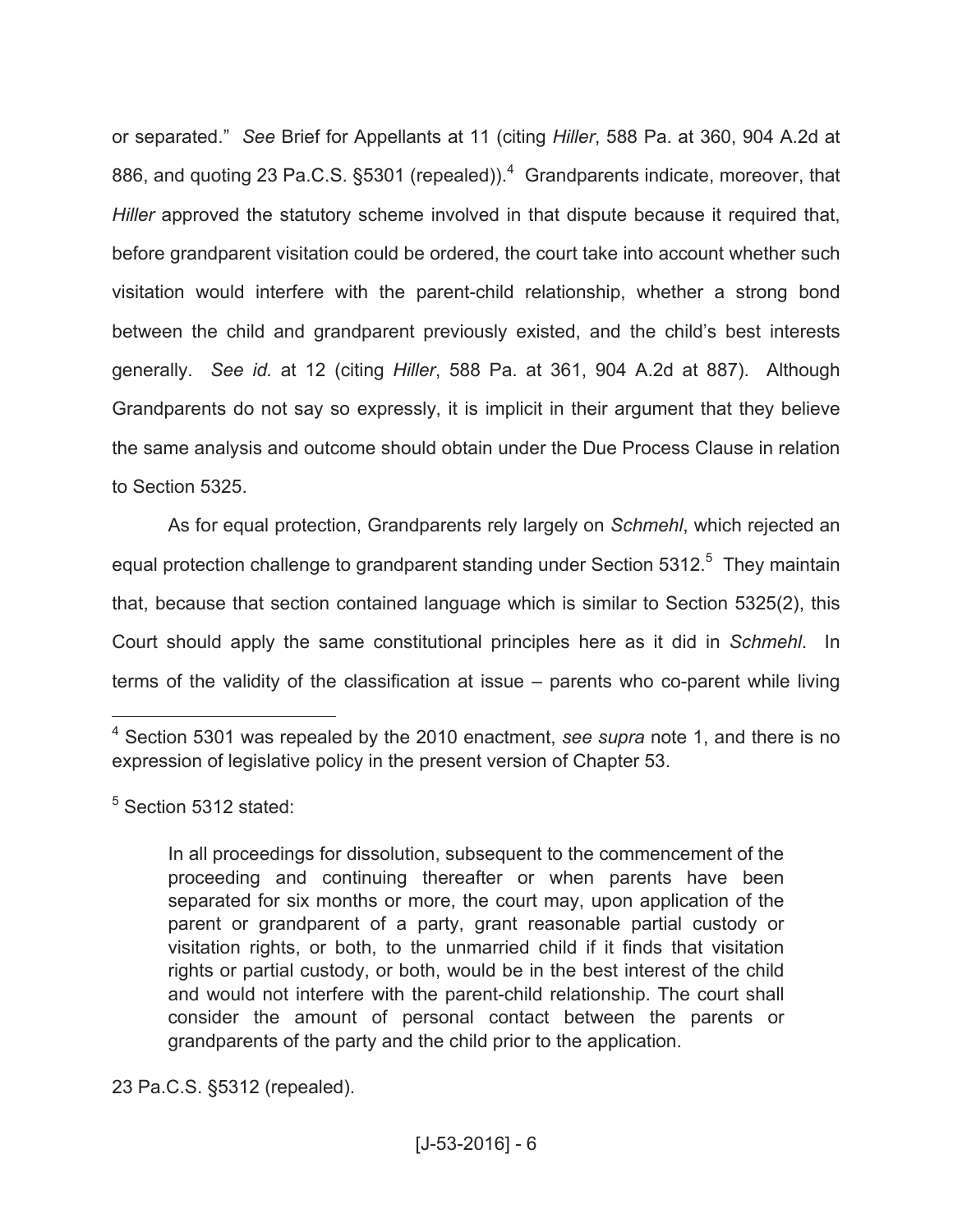or separated." *See* Brief for Appellants at 11 (citing *Hiller*, 588 Pa. at 360, 904 A.2d at 886, and quoting 23 Pa.C.S.  $\S$ 5301 (repealed)).<sup>4</sup> Grandparents indicate, moreover, that *Hiller* approved the statutory scheme involved in that dispute because it required that, before grandparent visitation could be ordered, the court take into account whether such visitation would interfere with the parent-child relationship, whether a strong bond between the child and grandparent previously existed, and the child's best interests generally. *See id.* at 12 (citing *Hiller*, 588 Pa. at 361, 904 A.2d at 887). Although Grandparents do not say so expressly, it is implicit in their argument that they believe the same analysis and outcome should obtain under the Due Process Clause in relation to Section 5325.

As for equal protection, Grandparents rely largely on *Schmehl*, which rejected an equal protection challenge to grandparent standing under Section 5312. $5$  They maintain that, because that section contained language which is similar to Section 5325(2), this Court should apply the same constitutional principles here as it did in *Schmehl*. In terms of the validity of the classification at issue – parents who co-parent while living

<sup>5</sup> Section 5312 stated:

 $\overline{a}$ 

In all proceedings for dissolution, subsequent to the commencement of the proceeding and continuing thereafter or when parents have been separated for six months or more, the court may, upon application of the parent or grandparent of a party, grant reasonable partial custody or visitation rights, or both, to the unmarried child if it finds that visitation rights or partial custody, or both, would be in the best interest of the child and would not interfere with the parent-child relationship. The court shall consider the amount of personal contact between the parents or grandparents of the party and the child prior to the application.

23 Pa.C.S. §5312 (repealed).

<sup>4</sup> Section 5301 was repealed by the 2010 enactment, *see supra* note 1, and there is no expression of legislative policy in the present version of Chapter 53.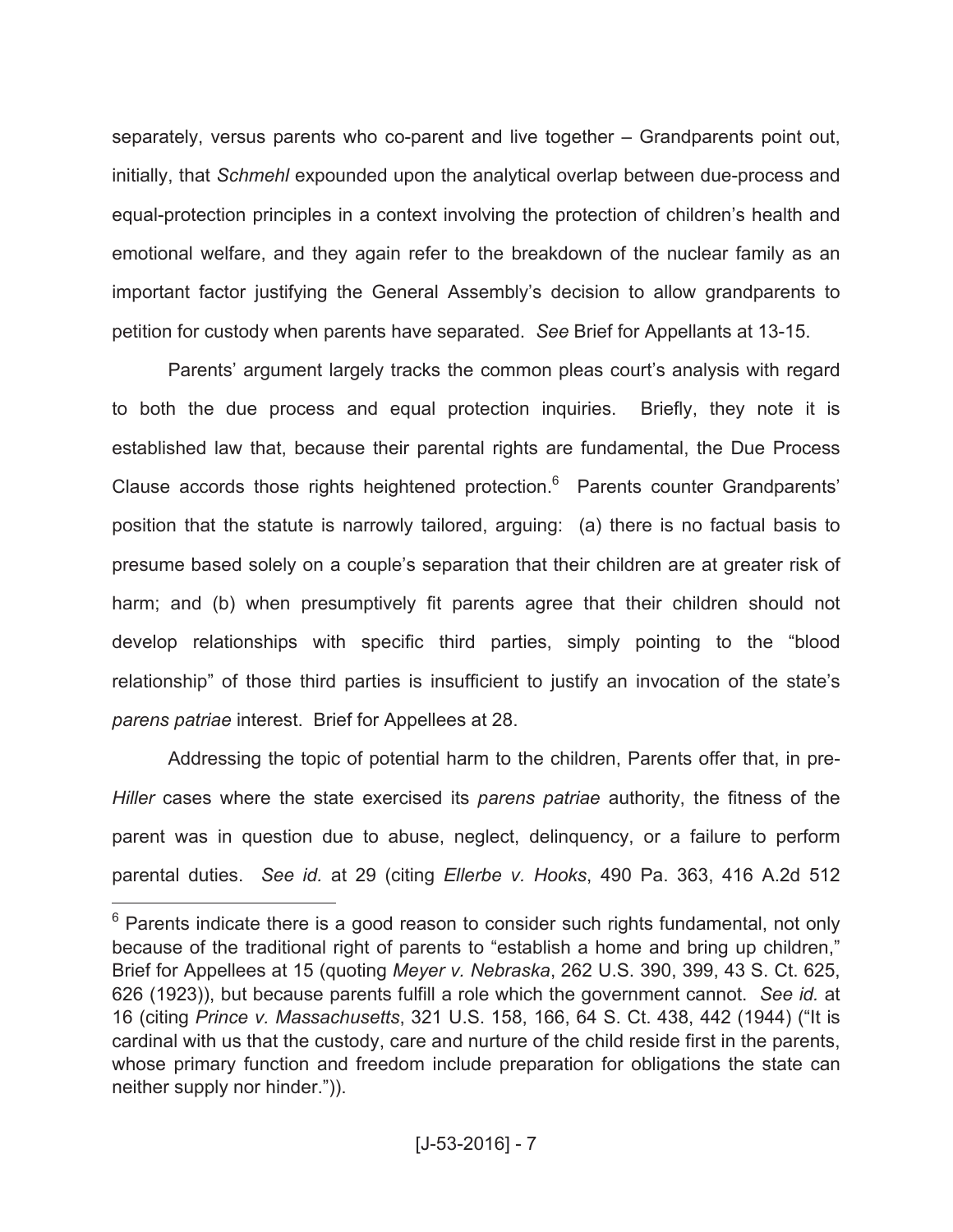separately, versus parents who co-parent and live together – Grandparents point out, initially, that *Schmehl* expounded upon the analytical overlap between due-process and equal-protection principles in a context involving the protection of children's health and emotional welfare, and they again refer to the breakdown of the nuclear family as an important factor justifying the General Assembly's decision to allow grandparents to petition for custody when parents have separated. *See* Brief for Appellants at 13-15.

Parents' argument largely tracks the common pleas court's analysis with regard to both the due process and equal protection inquiries. Briefly, they note it is established law that, because their parental rights are fundamental, the Due Process Clause accords those rights heightened protection.<sup>6</sup> Parents counter Grandparents' position that the statute is narrowly tailored, arguing: (a) there is no factual basis to presume based solely on a couple's separation that their children are at greater risk of harm; and (b) when presumptively fit parents agree that their children should not develop relationships with specific third parties, simply pointing to the "blood relationship" of those third parties is insufficient to justify an invocation of the state's *parens patriae* interest. Brief for Appellees at 28.

Addressing the topic of potential harm to the children, Parents offer that, in pre-*Hiller* cases where the state exercised its *parens patriae* authority, the fitness of the parent was in question due to abuse, neglect, delinquency, or a failure to perform parental duties. *See id.* at 29 (citing *Ellerbe v. Hooks*, 490 Pa. 363, 416 A.2d 512

 $6$  Parents indicate there is a good reason to consider such rights fundamental, not only because of the traditional right of parents to "establish a home and bring up children," Brief for Appellees at 15 (quoting *Meyer v. Nebraska*, 262 U.S. 390, 399, 43 S. Ct. 625, 626 (1923)), but because parents fulfill a role which the government cannot. *See id.* at 16 (citing *Prince v. Massachusetts*, 321 U.S. 158, 166, 64 S. Ct. 438, 442 (1944) ("It is cardinal with us that the custody, care and nurture of the child reside first in the parents, whose primary function and freedom include preparation for obligations the state can neither supply nor hinder.")).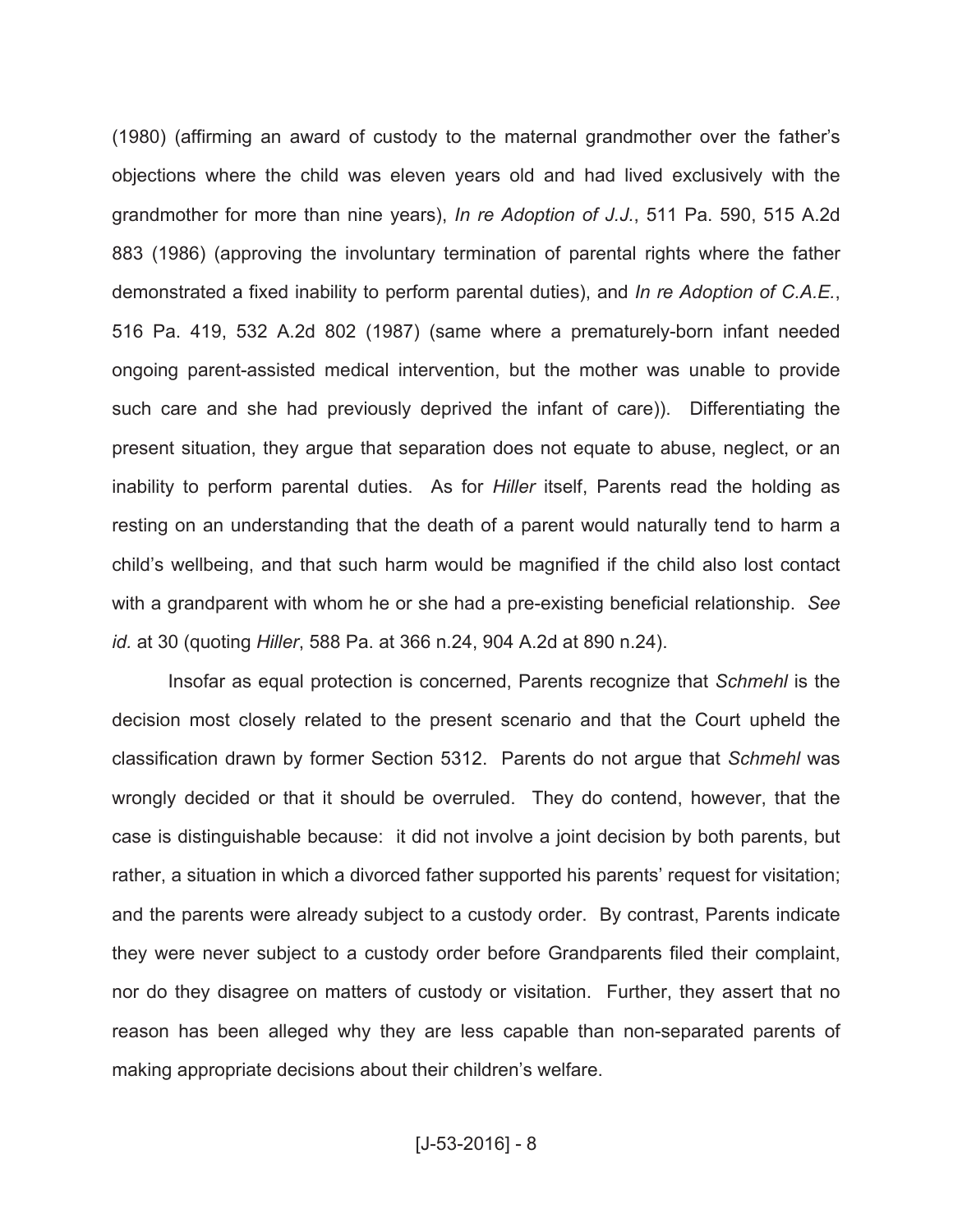(1980) (affirming an award of custody to the maternal grandmother over the father's objections where the child was eleven years old and had lived exclusively with the grandmother for more than nine years), *In re Adoption of J.J.*, 511 Pa. 590, 515 A.2d 883 (1986) (approving the involuntary termination of parental rights where the father demonstrated a fixed inability to perform parental duties), and *In re Adoption of C.A.E.*, 516 Pa. 419, 532 A.2d 802 (1987) (same where a prematurely-born infant needed ongoing parent-assisted medical intervention, but the mother was unable to provide such care and she had previously deprived the infant of care)). Differentiating the present situation, they argue that separation does not equate to abuse, neglect, or an inability to perform parental duties. As for *Hiller* itself, Parents read the holding as resting on an understanding that the death of a parent would naturally tend to harm a child's wellbeing, and that such harm would be magnified if the child also lost contact with a grandparent with whom he or she had a pre-existing beneficial relationship. *See id.* at 30 (quoting *Hiller*, 588 Pa. at 366 n.24, 904 A.2d at 890 n.24).

Insofar as equal protection is concerned, Parents recognize that *Schmehl* is the decision most closely related to the present scenario and that the Court upheld the classification drawn by former Section 5312. Parents do not argue that *Schmehl* was wrongly decided or that it should be overruled. They do contend, however, that the case is distinguishable because: it did not involve a joint decision by both parents, but rather, a situation in which a divorced father supported his parents' request for visitation; and the parents were already subject to a custody order. By contrast, Parents indicate they were never subject to a custody order before Grandparents filed their complaint, nor do they disagree on matters of custody or visitation. Further, they assert that no reason has been alleged why they are less capable than non-separated parents of making appropriate decisions about their children's welfare.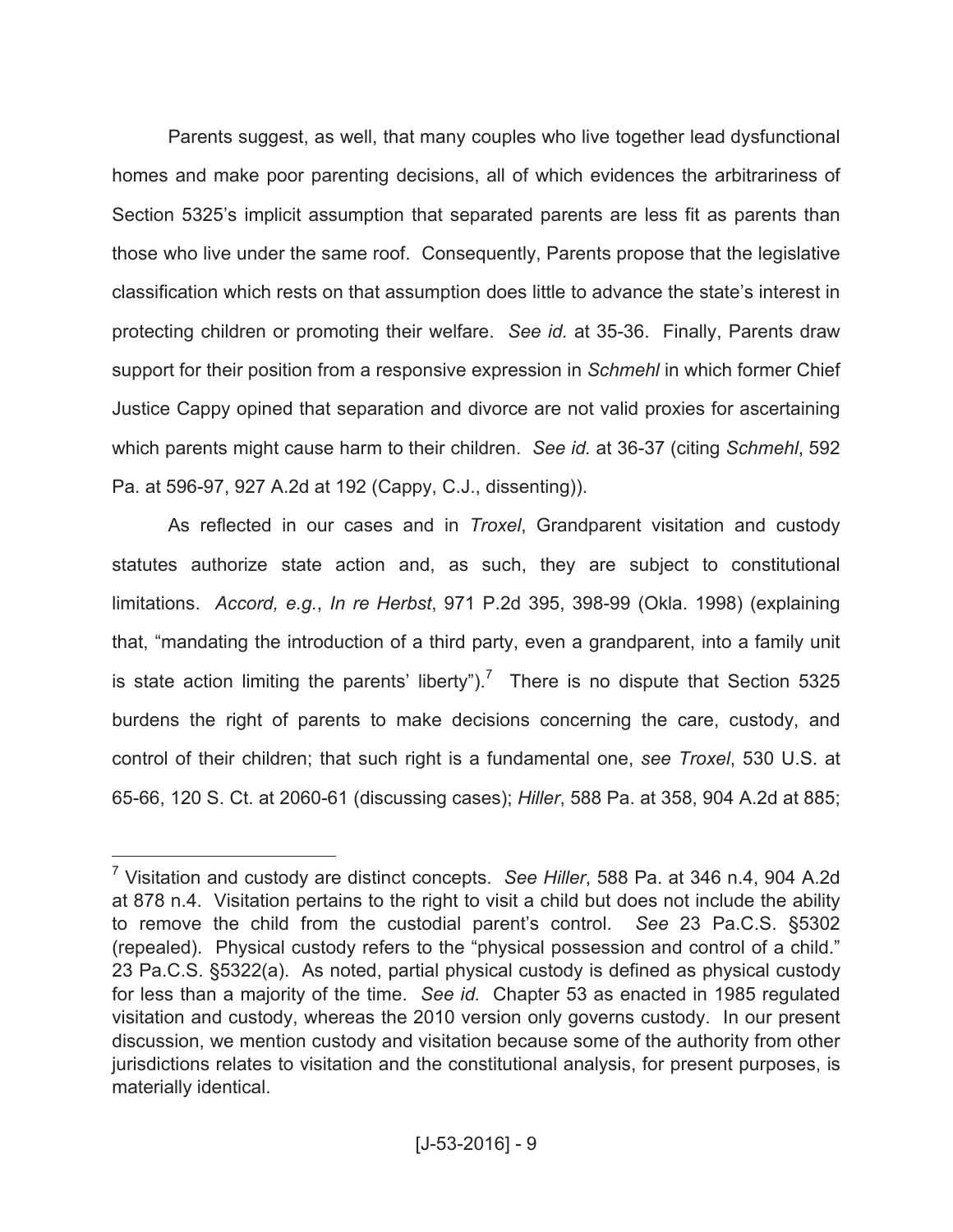Parents suggest, as well, that many couples who live together lead dysfunctional homes and make poor parenting decisions, all of which evidences the arbitrariness of Section 5325's implicit assumption that separated parents are less fit as parents than those who live under the same roof. Consequently, Parents propose that the legislative classification which rests on that assumption does little to advance the state's interest in protecting children or promoting their welfare. *See id.* at 35-36. Finally, Parents draw support for their position from a responsive expression in *Schmehl* in which former Chief Justice Cappy opined that separation and divorce are not valid proxies for ascertaining which parents might cause harm to their children. *See id.* at 36-37 (citing *Schmehl*, 592 Pa. at 596-97, 927 A.2d at 192 (Cappy, C.J., dissenting)).

As reflected in our cases and in *Troxel*, Grandparent visitation and custody statutes authorize state action and, as such, they are subject to constitutional limitations. *Accord, e.g.*, *In re Herbst*, 971 P.2d 395, 398-99 (Okla. 1998) (explaining that, "mandating the introduction of a third party, even a grandparent, into a family unit is state action limiting the parents' liberty").<sup>7</sup> There is no dispute that Section 5325 burdens the right of parents to make decisions concerning the care, custody, and control of their children; that such right is a fundamental one, *see Troxel*, 530 U.S. at 65-66, 120 S. Ct. at 2060-61 (discussing cases); *Hiller*, 588 Pa. at 358, 904 A.2d at 885;

<sup>7</sup> Visitation and custody are distinct concepts. *See Hiller*, 588 Pa. at 346 n.4, 904 A.2d at 878 n.4. Visitation pertains to the right to visit a child but does not include the ability to remove the child from the custodial parent's control. *See* 23 Pa.C.S. §5302 (repealed). Physical custody refers to the "physical possession and control of a child." 23 Pa.C.S. §5322(a). As noted, partial physical custody is defined as physical custody for less than a majority of the time. *See id.* Chapter 53 as enacted in 1985 regulated visitation and custody, whereas the 2010 version only governs custody. In our present discussion, we mention custody and visitation because some of the authority from other jurisdictions relates to visitation and the constitutional analysis, for present purposes, is materially identical.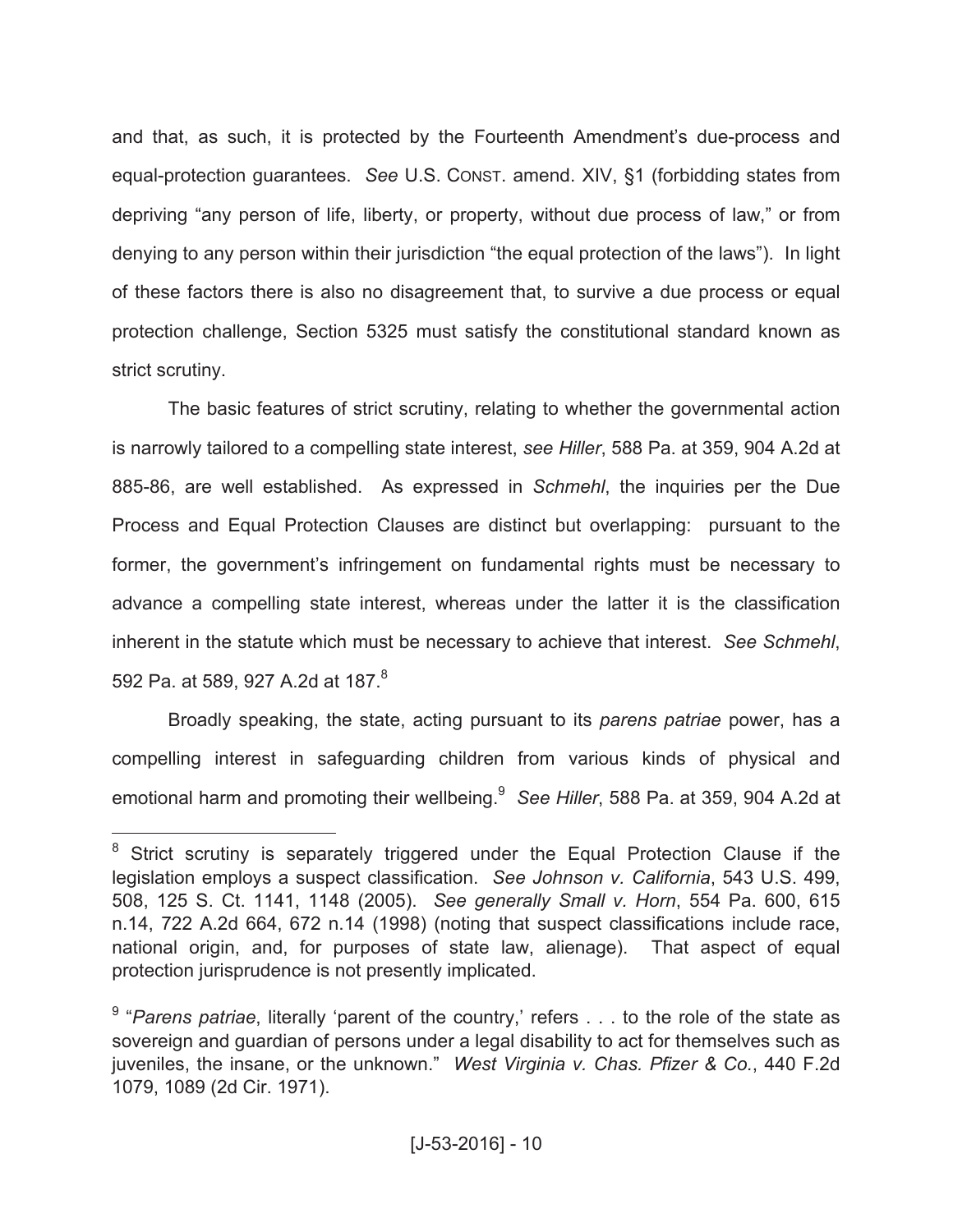and that, as such, it is protected by the Fourteenth Amendment's due-process and equal-protection guarantees. *See* U.S. CONST. amend. XIV, §1 (forbidding states from depriving "any person of life, liberty, or property, without due process of law," or from denying to any person within their jurisdiction "the equal protection of the laws"). In light of these factors there is also no disagreement that, to survive a due process or equal protection challenge, Section 5325 must satisfy the constitutional standard known as strict scrutiny.

The basic features of strict scrutiny, relating to whether the governmental action is narrowly tailored to a compelling state interest, *see Hiller*, 588 Pa. at 359, 904 A.2d at 885-86, are well established. As expressed in *Schmehl*, the inquiries per the Due Process and Equal Protection Clauses are distinct but overlapping: pursuant to the former, the government's infringement on fundamental rights must be necessary to advance a compelling state interest, whereas under the latter it is the classification inherent in the statute which must be necessary to achieve that interest. *See Schmehl*, 592 Pa. at 589, 927 A.2d at 187.<sup>8</sup>

Broadly speaking, the state, acting pursuant to its *parens patriae* power, has a compelling interest in safeguarding children from various kinds of physical and emotional harm and promoting their wellbeing. 9 *See Hiller*, 588 Pa. at 359, 904 A.2d at

 $8$  Strict scrutiny is separately triggered under the Equal Protection Clause if the legislation employs a suspect classification. *See Johnson v. California*, 543 U.S. 499, 508, 125 S. Ct. 1141, 1148 (2005). *See generally Small v. Horn*, 554 Pa. 600, 615 n.14, 722 A.2d 664, 672 n.14 (1998) (noting that suspect classifications include race, national origin, and, for purposes of state law, alienage). That aspect of equal protection jurisprudence is not presently implicated.

<sup>&</sup>lt;sup>9</sup> "Parens patriae, literally 'parent of the country,' refers . . . to the role of the state as sovereign and guardian of persons under a legal disability to act for themselves such as juveniles, the insane, or the unknown." *West Virginia v. Chas. Pfizer & Co.*, 440 F.2d 1079, 1089 (2d Cir. 1971).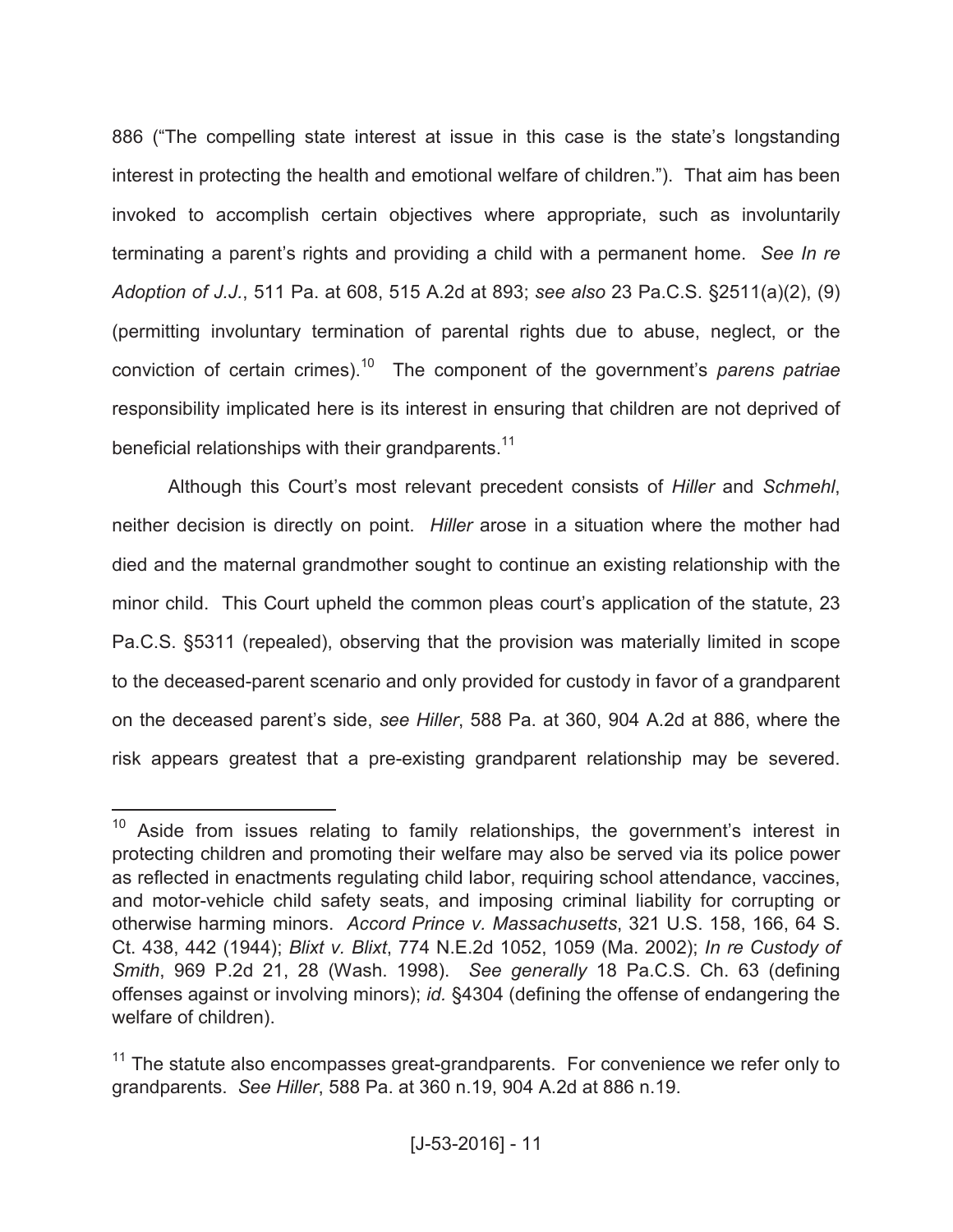886 ("The compelling state interest at issue in this case is the state's longstanding interest in protecting the health and emotional welfare of children."). That aim has been invoked to accomplish certain objectives where appropriate, such as involuntarily terminating a parent's rights and providing a child with a permanent home. *See In re Adoption of J.J.*, 511 Pa. at 608, 515 A.2d at 893; *see also* 23 Pa.C.S. §2511(a)(2), (9) (permitting involuntary termination of parental rights due to abuse, neglect, or the conviction of certain crimes). <sup>10</sup> The component of the government's *parens patriae* responsibility implicated here is its interest in ensuring that children are not deprived of beneficial relationships with their grandparents.<sup>11</sup>

Although this Court's most relevant precedent consists of *Hiller* and *Schmehl*, neither decision is directly on point. *Hiller* arose in a situation where the mother had died and the maternal grandmother sought to continue an existing relationship with the minor child. This Court upheld the common pleas court's application of the statute, 23 Pa.C.S. §5311 (repealed), observing that the provision was materially limited in scope to the deceased-parent scenario and only provided for custody in favor of a grandparent on the deceased parent's side, *see Hiller*, 588 Pa. at 360, 904 A.2d at 886, where the risk appears greatest that a pre-existing grandparent relationship may be severed.

 $10$  Aside from issues relating to family relationships, the government's interest in protecting children and promoting their welfare may also be served via its police power as reflected in enactments regulating child labor, requiring school attendance, vaccines, and motor-vehicle child safety seats, and imposing criminal liability for corrupting or otherwise harming minors. *Accord Prince v. Massachusetts*, 321 U.S. 158, 166, 64 S. Ct. 438, 442 (1944); *Blixt v. Blixt*, 774 N.E.2d 1052, 1059 (Ma. 2002); *In re Custody of Smith*, 969 P.2d 21, 28 (Wash. 1998). *See generally* 18 Pa.C.S. Ch. 63 (defining offenses against or involving minors); *id.* §4304 (defining the offense of endangering the welfare of children).

 $11$  The statute also encompasses great-grandparents. For convenience we refer only to grandparents. *See Hiller*, 588 Pa. at 360 n.19, 904 A.2d at 886 n.19.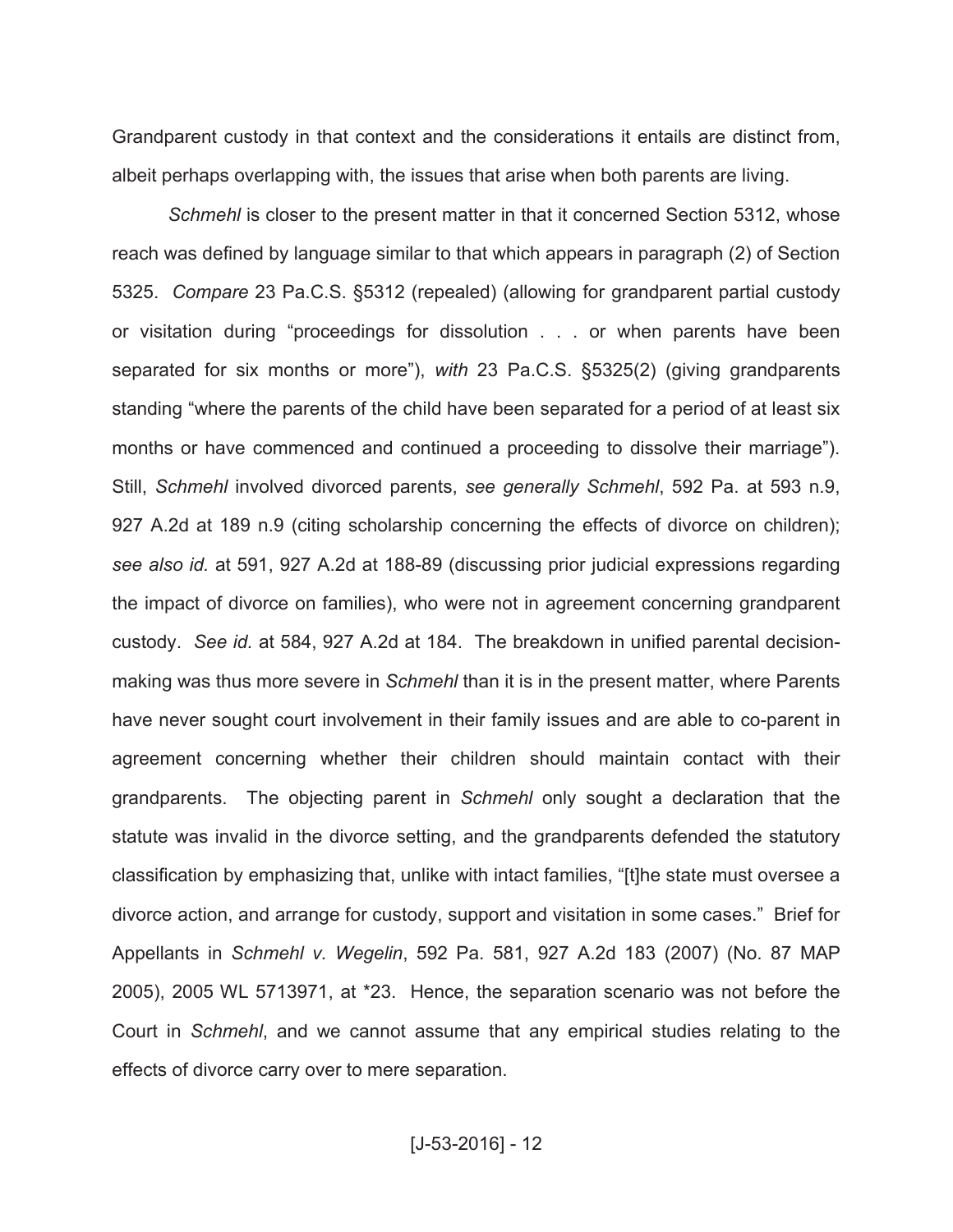Grandparent custody in that context and the considerations it entails are distinct from, albeit perhaps overlapping with, the issues that arise when both parents are living.

*Schmehl* is closer to the present matter in that it concerned Section 5312, whose reach was defined by language similar to that which appears in paragraph (2) of Section 5325. *Compare* 23 Pa.C.S. §5312 (repealed) (allowing for grandparent partial custody or visitation during "proceedings for dissolution . . . or when parents have been separated for six months or more"), *with* 23 Pa.C.S. §5325(2) (giving grandparents standing "where the parents of the child have been separated for a period of at least six months or have commenced and continued a proceeding to dissolve their marriage"). Still, *Schmehl* involved divorced parents, *see generally Schmehl*, 592 Pa. at 593 n.9, 927 A.2d at 189 n.9 (citing scholarship concerning the effects of divorce on children); *see also id.* at 591, 927 A.2d at 188-89 (discussing prior judicial expressions regarding the impact of divorce on families), who were not in agreement concerning grandparent custody. *See id.* at 584, 927 A.2d at 184. The breakdown in unified parental decisionmaking was thus more severe in *Schmehl* than it is in the present matter, where Parents have never sought court involvement in their family issues and are able to co-parent in agreement concerning whether their children should maintain contact with their grandparents. The objecting parent in *Schmehl* only sought a declaration that the statute was invalid in the divorce setting, and the grandparents defended the statutory classification by emphasizing that, unlike with intact families, "[t]he state must oversee a divorce action, and arrange for custody, support and visitation in some cases." Brief for Appellants in *Schmehl v. Wegelin*, 592 Pa. 581, 927 A.2d 183 (2007) (No. 87 MAP 2005), 2005 WL 5713971, at \*23. Hence, the separation scenario was not before the Court in *Schmehl*, and we cannot assume that any empirical studies relating to the effects of divorce carry over to mere separation.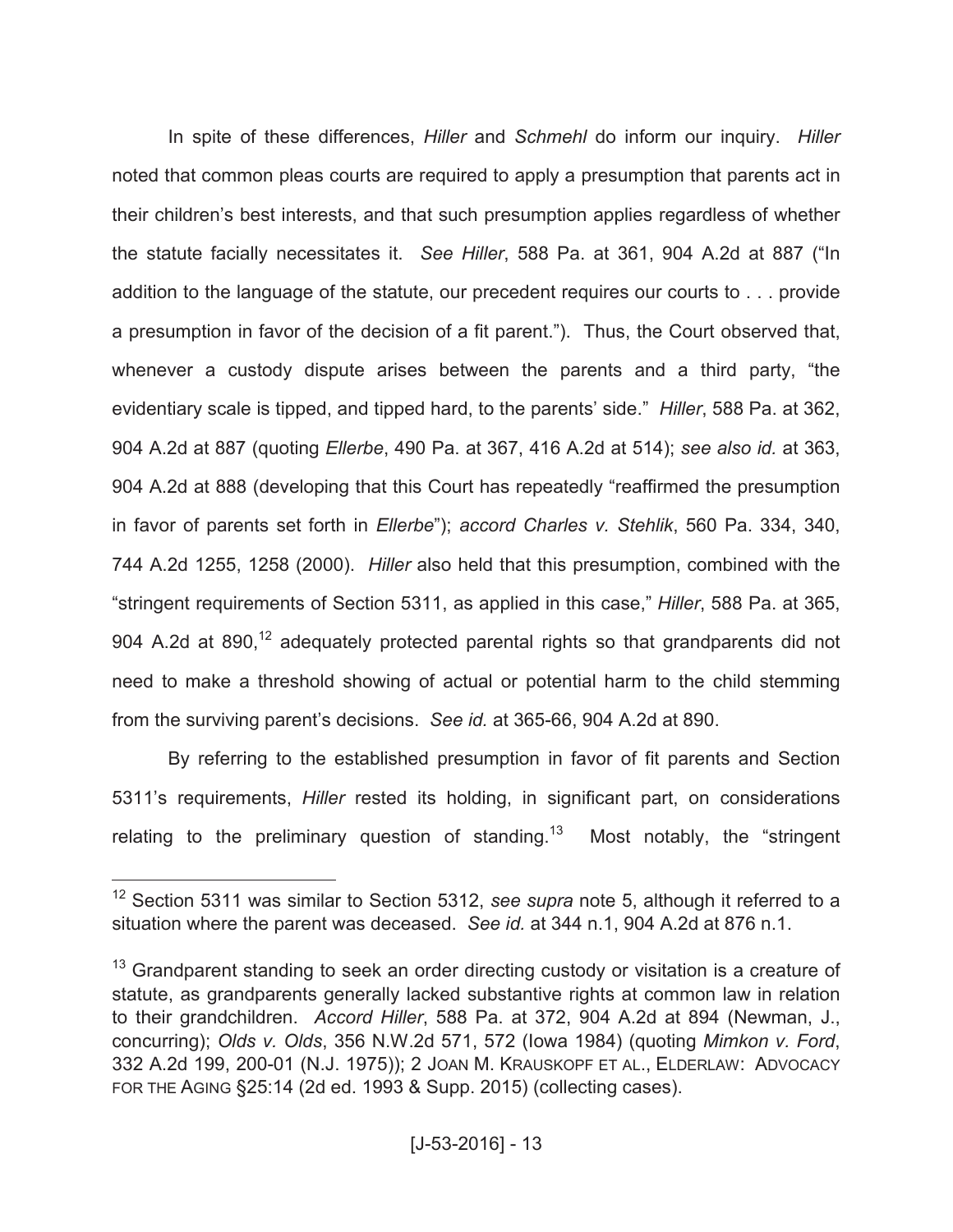In spite of these differences, *Hiller* and *Schmehl* do inform our inquiry. *Hiller* noted that common pleas courts are required to apply a presumption that parents act in their children's best interests, and that such presumption applies regardless of whether the statute facially necessitates it. *See Hiller*, 588 Pa. at 361, 904 A.2d at 887 ("In addition to the language of the statute, our precedent requires our courts to . . . provide a presumption in favor of the decision of a fit parent."). Thus, the Court observed that, whenever a custody dispute arises between the parents and a third party, "the evidentiary scale is tipped, and tipped hard, to the parents' side." *Hiller*, 588 Pa. at 362, 904 A.2d at 887 (quoting *Ellerbe*, 490 Pa. at 367, 416 A.2d at 514); *see also id.* at 363, 904 A.2d at 888 (developing that this Court has repeatedly "reaffirmed the presumption in favor of parents set forth in *Ellerbe*"); *accord Charles v. Stehlik*, 560 Pa. 334, 340, 744 A.2d 1255, 1258 (2000). *Hiller* also held that this presumption, combined with the "stringent requirements of Section 5311, as applied in this case," *Hiller*, 588 Pa. at 365, 904 A.2d at 890,<sup>12</sup> adequately protected parental rights so that grandparents did not need to make a threshold showing of actual or potential harm to the child stemming from the surviving parent's decisions. *See id.* at 365-66, 904 A.2d at 890.

By referring to the established presumption in favor of fit parents and Section 5311's requirements, *Hiller* rested its holding, in significant part, on considerations relating to the preliminary question of standing.<sup>13</sup> Most notably, the "stringent"

<sup>&</sup>lt;sup>12</sup> Section 5311 was similar to Section 5312, see supra note 5, although it referred to a situation where the parent was deceased. *See id.* at 344 n.1, 904 A.2d at 876 n.1.

<sup>&</sup>lt;sup>13</sup> Grandparent standing to seek an order directing custody or visitation is a creature of statute, as grandparents generally lacked substantive rights at common law in relation to their grandchildren. *Accord Hiller*, 588 Pa. at 372, 904 A.2d at 894 (Newman, J., concurring); *Olds v. Olds*, 356 N.W.2d 571, 572 (Iowa 1984) (quoting *Mimkon v. Ford*, 332 A.2d 199, 200-01 (N.J. 1975)); 2 JOAN M. KRAUSKOPF ET AL., ELDERLAW: ADVOCACY FOR THE AGING §25:14 (2d ed. 1993 & Supp. 2015) (collecting cases).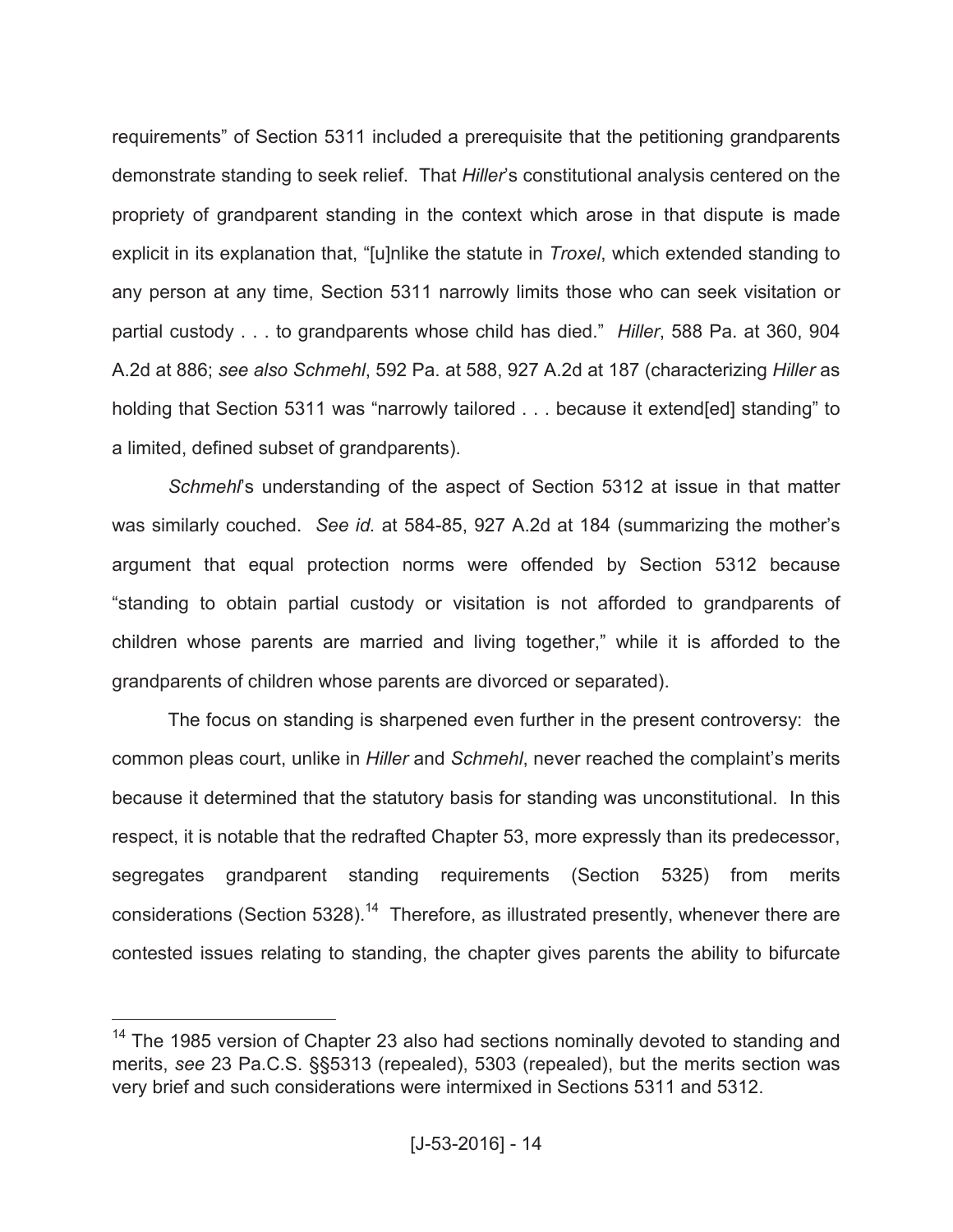requirements" of Section 5311 included a prerequisite that the petitioning grandparents demonstrate standing to seek relief. That *Hiller*'s constitutional analysis centered on the propriety of grandparent standing in the context which arose in that dispute is made explicit in its explanation that, "[u]nlike the statute in *Troxel*, which extended standing to any person at any time, Section 5311 narrowly limits those who can seek visitation or partial custody . . . to grandparents whose child has died." *Hiller*, 588 Pa. at 360, 904 A.2d at 886; *see also Schmehl*, 592 Pa. at 588, 927 A.2d at 187 (characterizing *Hiller* as holding that Section 5311 was "narrowly tailored . . . because it extend[ed] standing" to a limited, defined subset of grandparents).

*Schmehl*'s understanding of the aspect of Section 5312 at issue in that matter was similarly couched. *See id.* at 584-85, 927 A.2d at 184 (summarizing the mother's argument that equal protection norms were offended by Section 5312 because "standing to obtain partial custody or visitation is not afforded to grandparents of children whose parents are married and living together," while it is afforded to the grandparents of children whose parents are divorced or separated).

The focus on standing is sharpened even further in the present controversy: the common pleas court, unlike in *Hiller* and *Schmehl*, never reached the complaint's merits because it determined that the statutory basis for standing was unconstitutional. In this respect, it is notable that the redrafted Chapter 53, more expressly than its predecessor, segregates grandparent standing requirements (Section 5325) from merits considerations (Section 5328).<sup>14</sup> Therefore, as illustrated presently, whenever there are contested issues relating to standing, the chapter gives parents the ability to bifurcate

<sup>&</sup>lt;sup>14</sup> The 1985 version of Chapter 23 also had sections nominally devoted to standing and merits, *see* 23 Pa.C.S. §§5313 (repealed), 5303 (repealed), but the merits section was very brief and such considerations were intermixed in Sections 5311 and 5312.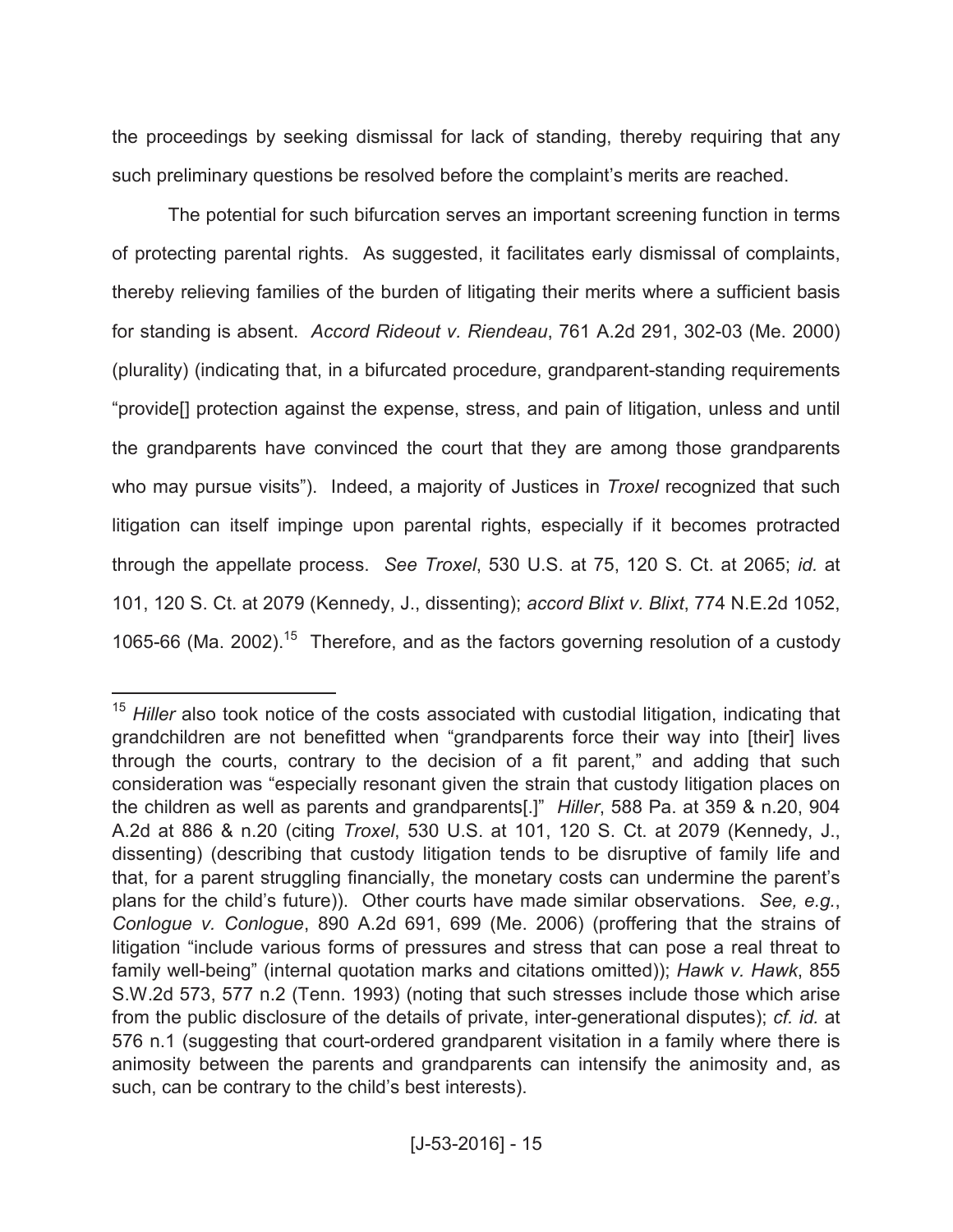the proceedings by seeking dismissal for lack of standing, thereby requiring that any such preliminary questions be resolved before the complaint's merits are reached.

The potential for such bifurcation serves an important screening function in terms of protecting parental rights. As suggested, it facilitates early dismissal of complaints, thereby relieving families of the burden of litigating their merits where a sufficient basis for standing is absent. *Accord Rideout v. Riendeau*, 761 A.2d 291, 302-03 (Me. 2000) (plurality) (indicating that, in a bifurcated procedure, grandparent-standing requirements "provide[] protection against the expense, stress, and pain of litigation, unless and until the grandparents have convinced the court that they are among those grandparents who may pursue visits"). Indeed, a majority of Justices in *Troxel* recognized that such litigation can itself impinge upon parental rights, especially if it becomes protracted through the appellate process. *See Troxel*, 530 U.S. at 75, 120 S. Ct. at 2065; *id.* at 101, 120 S. Ct. at 2079 (Kennedy, J., dissenting); *accord Blixt v. Blixt*, 774 N.E.2d 1052, 1065-66 (Ma. 2002).<sup>15</sup> Therefore, and as the factors governing resolution of a custody

<sup>&</sup>lt;sup>15</sup> Hiller also took notice of the costs associated with custodial litigation, indicating that grandchildren are not benefitted when "grandparents force their way into [their] lives through the courts, contrary to the decision of a fit parent," and adding that such consideration was "especially resonant given the strain that custody litigation places on the children as well as parents and grandparents[.]" *Hiller*, 588 Pa. at 359 & n.20, 904 A.2d at 886 & n.20 (citing *Troxel*, 530 U.S. at 101, 120 S. Ct. at 2079 (Kennedy, J., dissenting) (describing that custody litigation tends to be disruptive of family life and that, for a parent struggling financially, the monetary costs can undermine the parent's plans for the child's future)). Other courts have made similar observations. *See, e.g.*, *Conlogue v. Conlogue*, 890 A.2d 691, 699 (Me. 2006) (proffering that the strains of litigation "include various forms of pressures and stress that can pose a real threat to family well-being" (internal quotation marks and citations omitted)); *Hawk v. Hawk*, 855 S.W.2d 573, 577 n.2 (Tenn. 1993) (noting that such stresses include those which arise from the public disclosure of the details of private, inter-generational disputes); *cf. id.* at 576 n.1 (suggesting that court-ordered grandparent visitation in a family where there is animosity between the parents and grandparents can intensify the animosity and, as such, can be contrary to the child's best interests).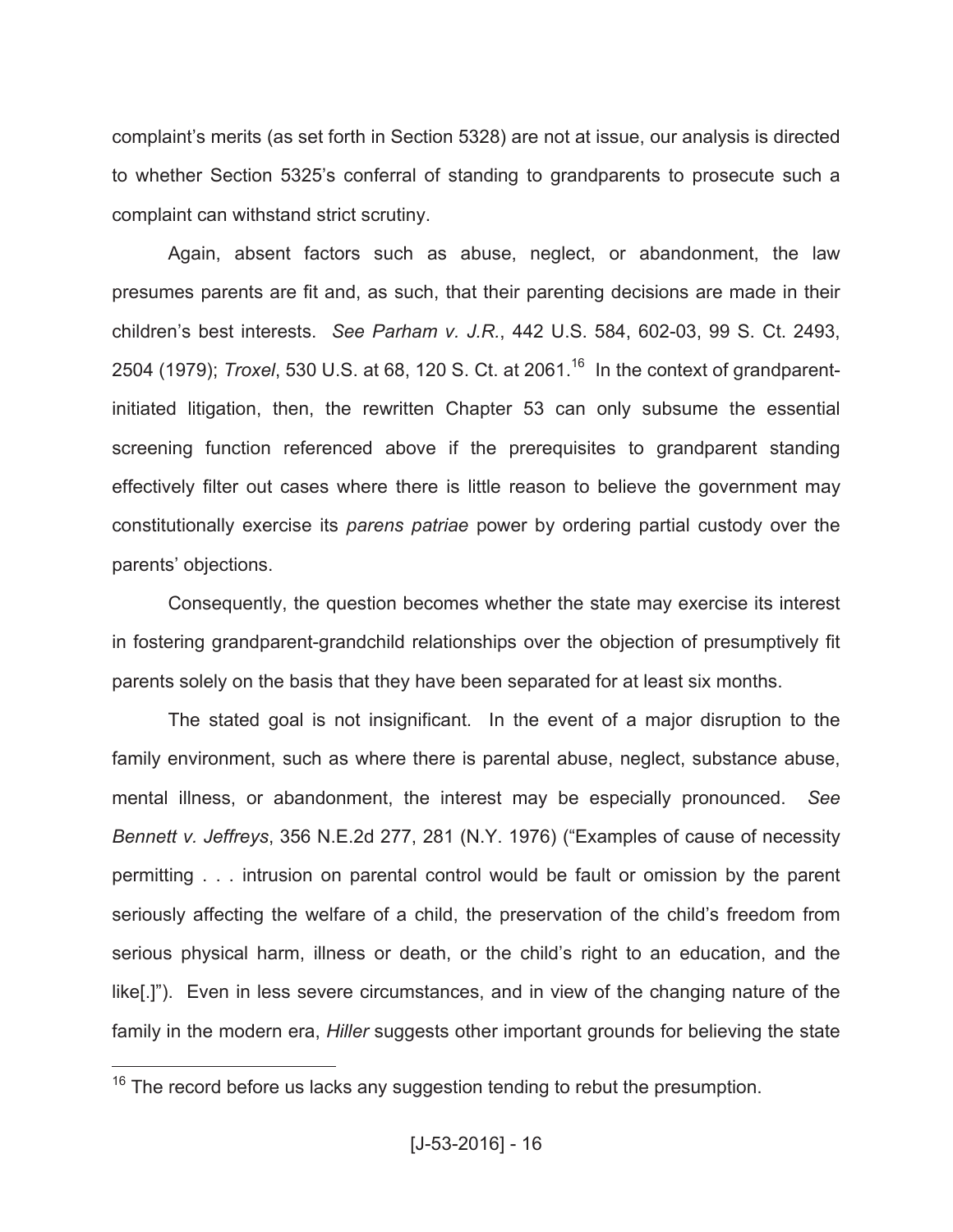complaint's merits (as set forth in Section 5328) are not at issue, our analysis is directed to whether Section 5325's conferral of standing to grandparents to prosecute such a complaint can withstand strict scrutiny.

Again, absent factors such as abuse, neglect, or abandonment, the law presumes parents are fit and, as such, that their parenting decisions are made in their children's best interests. *See Parham v. J.R.*, 442 U.S. 584, 602-03, 99 S. Ct. 2493, 2504 (1979); *Troxel*, 530 U.S. at 68, 120 S. Ct. at 2061. 16 In the context of grandparentinitiated litigation, then, the rewritten Chapter 53 can only subsume the essential screening function referenced above if the prerequisites to grandparent standing effectively filter out cases where there is little reason to believe the government may constitutionally exercise its *parens patriae* power by ordering partial custody over the parents' objections.

Consequently, the question becomes whether the state may exercise its interest in fostering grandparent-grandchild relationships over the objection of presumptively fit parents solely on the basis that they have been separated for at least six months.

The stated goal is not insignificant. In the event of a major disruption to the family environment, such as where there is parental abuse, neglect, substance abuse, mental illness, or abandonment, the interest may be especially pronounced. *See Bennett v. Jeffreys*, 356 N.E.2d 277, 281 (N.Y. 1976) ("Examples of cause of necessity permitting . . . intrusion on parental control would be fault or omission by the parent seriously affecting the welfare of a child, the preservation of the child's freedom from serious physical harm, illness or death, or the child's right to an education, and the like[.]"). Even in less severe circumstances, and in view of the changing nature of the family in the modern era, *Hiller* suggests other important grounds for believing the state

 $16$  The record before us lacks any suggestion tending to rebut the presumption.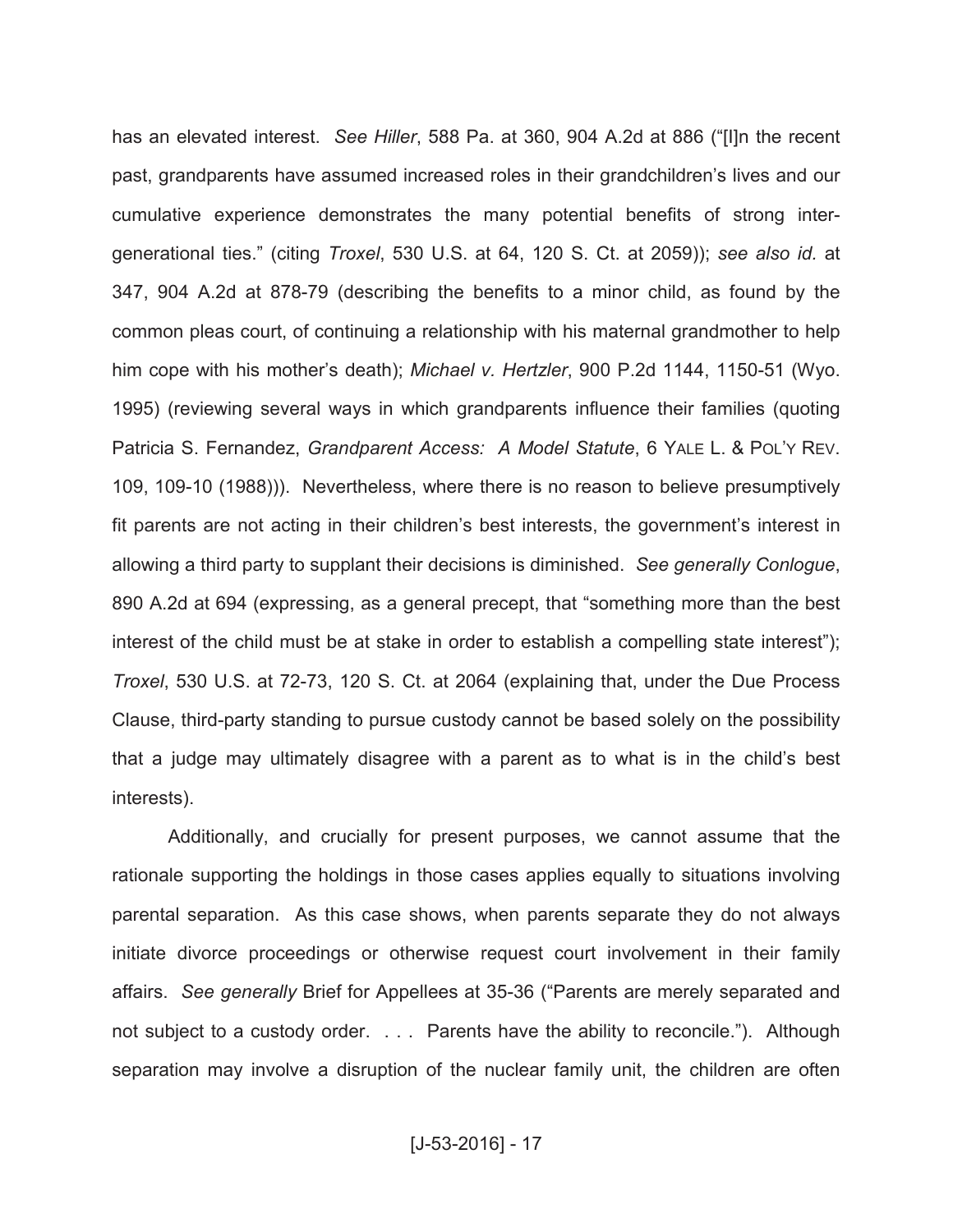has an elevated interest. *See Hiller*, 588 Pa. at 360, 904 A.2d at 886 ("[I]n the recent past, grandparents have assumed increased roles in their grandchildren's lives and our cumulative experience demonstrates the many potential benefits of strong intergenerational ties." (citing *Troxel*, 530 U.S. at 64, 120 S. Ct. at 2059)); *see also id.* at 347, 904 A.2d at 878-79 (describing the benefits to a minor child, as found by the common pleas court, of continuing a relationship with his maternal grandmother to help him cope with his mother's death); *Michael v. Hertzler*, 900 P.2d 1144, 1150-51 (Wyo. 1995) (reviewing several ways in which grandparents influence their families (quoting Patricia S. Fernandez, *Grandparent Access: A Model Statute*, 6 YALE L. & POL'Y REV. 109, 109-10 (1988))). Nevertheless, where there is no reason to believe presumptively fit parents are not acting in their children's best interests, the government's interest in allowing a third party to supplant their decisions is diminished. *See generally Conlogue*, 890 A.2d at 694 (expressing, as a general precept, that "something more than the best interest of the child must be at stake in order to establish a compelling state interest"); *Troxel*, 530 U.S. at 72-73, 120 S. Ct. at 2064 (explaining that, under the Due Process Clause, third-party standing to pursue custody cannot be based solely on the possibility that a judge may ultimately disagree with a parent as to what is in the child's best interests).

Additionally, and crucially for present purposes, we cannot assume that the rationale supporting the holdings in those cases applies equally to situations involving parental separation. As this case shows, when parents separate they do not always initiate divorce proceedings or otherwise request court involvement in their family affairs. *See generally* Brief for Appellees at 35-36 ("Parents are merely separated and not subject to a custody order. . . . Parents have the ability to reconcile."). Although separation may involve a disruption of the nuclear family unit, the children are often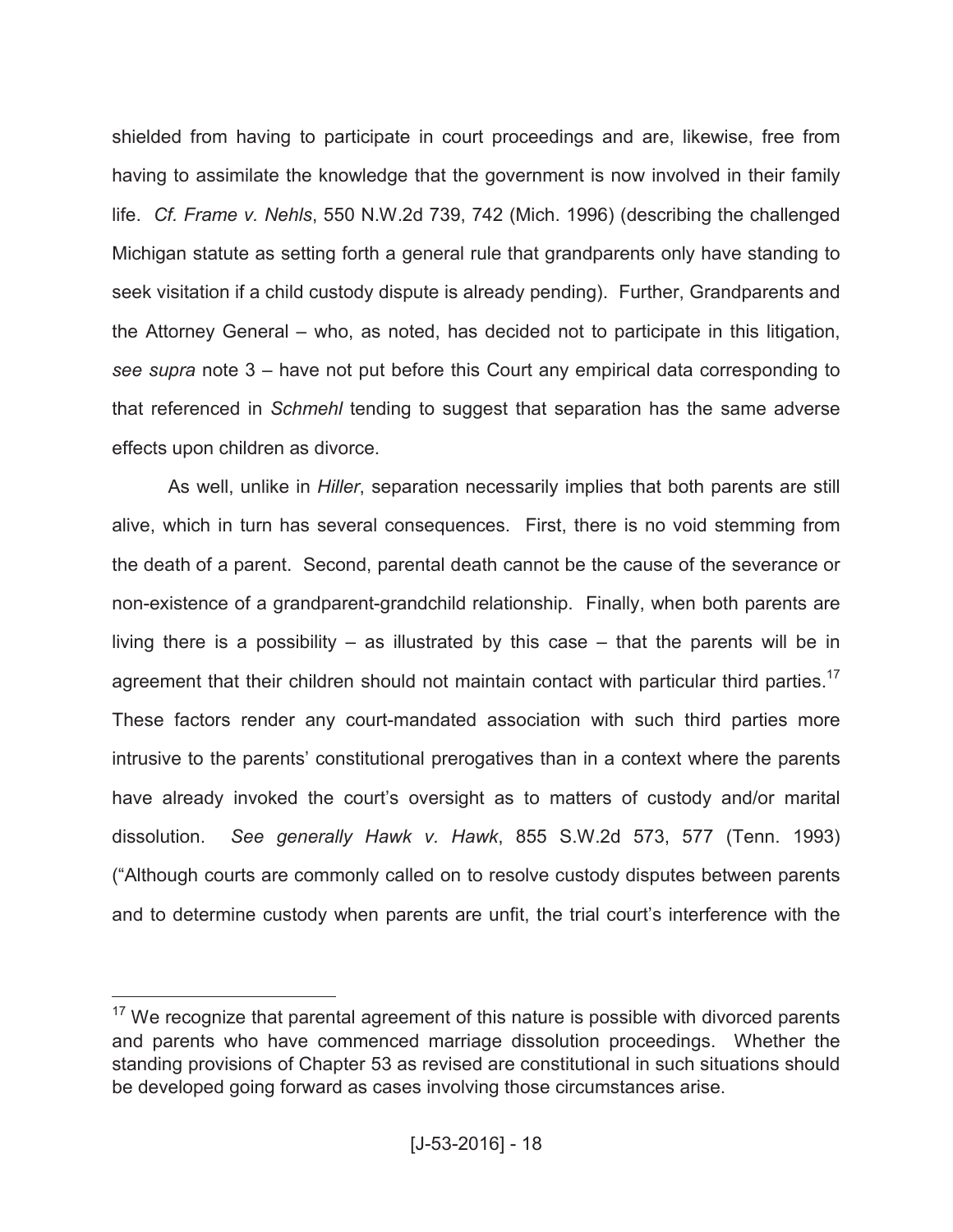shielded from having to participate in court proceedings and are, likewise, free from having to assimilate the knowledge that the government is now involved in their family life. *Cf. Frame v. Nehls*, 550 N.W.2d 739, 742 (Mich. 1996) (describing the challenged Michigan statute as setting forth a general rule that grandparents only have standing to seek visitation if a child custody dispute is already pending). Further, Grandparents and the Attorney General – who, as noted, has decided not to participate in this litigation, *see supra* note 3 – have not put before this Court any empirical data corresponding to that referenced in *Schmehl* tending to suggest that separation has the same adverse effects upon children as divorce.

As well, unlike in *Hiller*, separation necessarily implies that both parents are still alive, which in turn has several consequences. First, there is no void stemming from the death of a parent. Second, parental death cannot be the cause of the severance or non-existence of a grandparent-grandchild relationship. Finally, when both parents are living there is a possibility – as illustrated by this case – that the parents will be in agreement that their children should not maintain contact with particular third parties.<sup>17</sup> These factors render any court-mandated association with such third parties more intrusive to the parents' constitutional prerogatives than in a context where the parents have already invoked the court's oversight as to matters of custody and/or marital dissolution. *See generally Hawk v. Hawk*, 855 S.W.2d 573, 577 (Tenn. 1993) ("Although courts are commonly called on to resolve custody disputes between parents and to determine custody when parents are unfit, the trial court's interference with the

 $17$  We recognize that parental agreement of this nature is possible with divorced parents and parents who have commenced marriage dissolution proceedings. Whether the standing provisions of Chapter 53 as revised are constitutional in such situations should be developed going forward as cases involving those circumstances arise.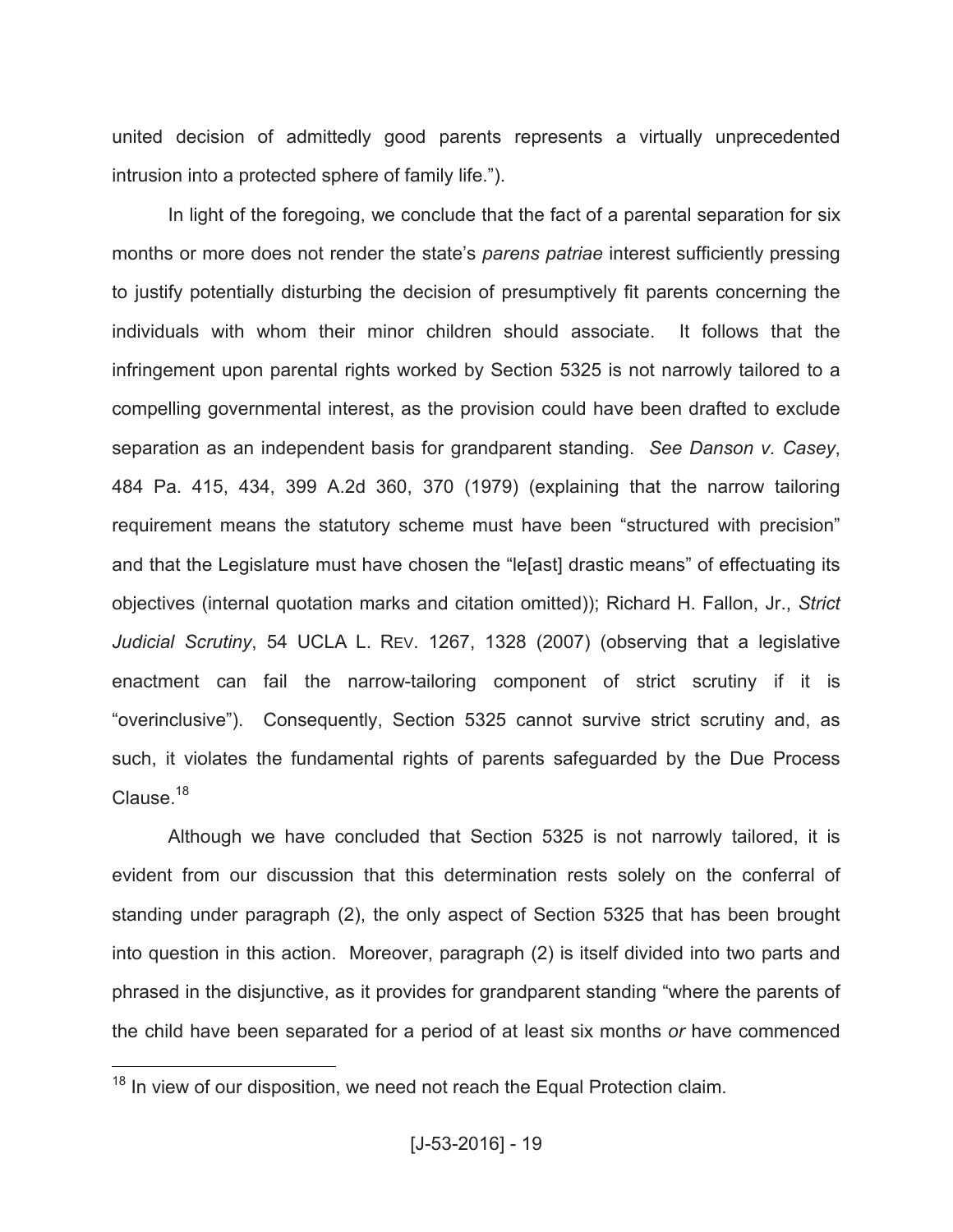united decision of admittedly good parents represents a virtually unprecedented intrusion into a protected sphere of family life.").

In light of the foregoing, we conclude that the fact of a parental separation for six months or more does not render the state's *parens patriae* interest sufficiently pressing to justify potentially disturbing the decision of presumptively fit parents concerning the individuals with whom their minor children should associate. It follows that the infringement upon parental rights worked by Section 5325 is not narrowly tailored to a compelling governmental interest, as the provision could have been drafted to exclude separation as an independent basis for grandparent standing. *See Danson v. Casey*, 484 Pa. 415, 434, 399 A.2d 360, 370 (1979) (explaining that the narrow tailoring requirement means the statutory scheme must have been "structured with precision" and that the Legislature must have chosen the "le[ast] drastic means" of effectuating its objectives (internal quotation marks and citation omitted)); Richard H. Fallon, Jr., *Strict Judicial Scrutiny*, 54 UCLA L. REV. 1267, 1328 (2007) (observing that a legislative enactment can fail the narrow-tailoring component of strict scrutiny if it is "overinclusive"). Consequently, Section 5325 cannot survive strict scrutiny and, as such, it violates the fundamental rights of parents safeguarded by the Due Process Clause. $18$ 

Although we have concluded that Section 5325 is not narrowly tailored, it is evident from our discussion that this determination rests solely on the conferral of standing under paragraph (2), the only aspect of Section 5325 that has been brought into question in this action. Moreover, paragraph (2) is itself divided into two parts and phrased in the disjunctive, as it provides for grandparent standing "where the parents of the child have been separated for a period of at least six months *or* have commenced

 $18$  In view of our disposition, we need not reach the Equal Protection claim.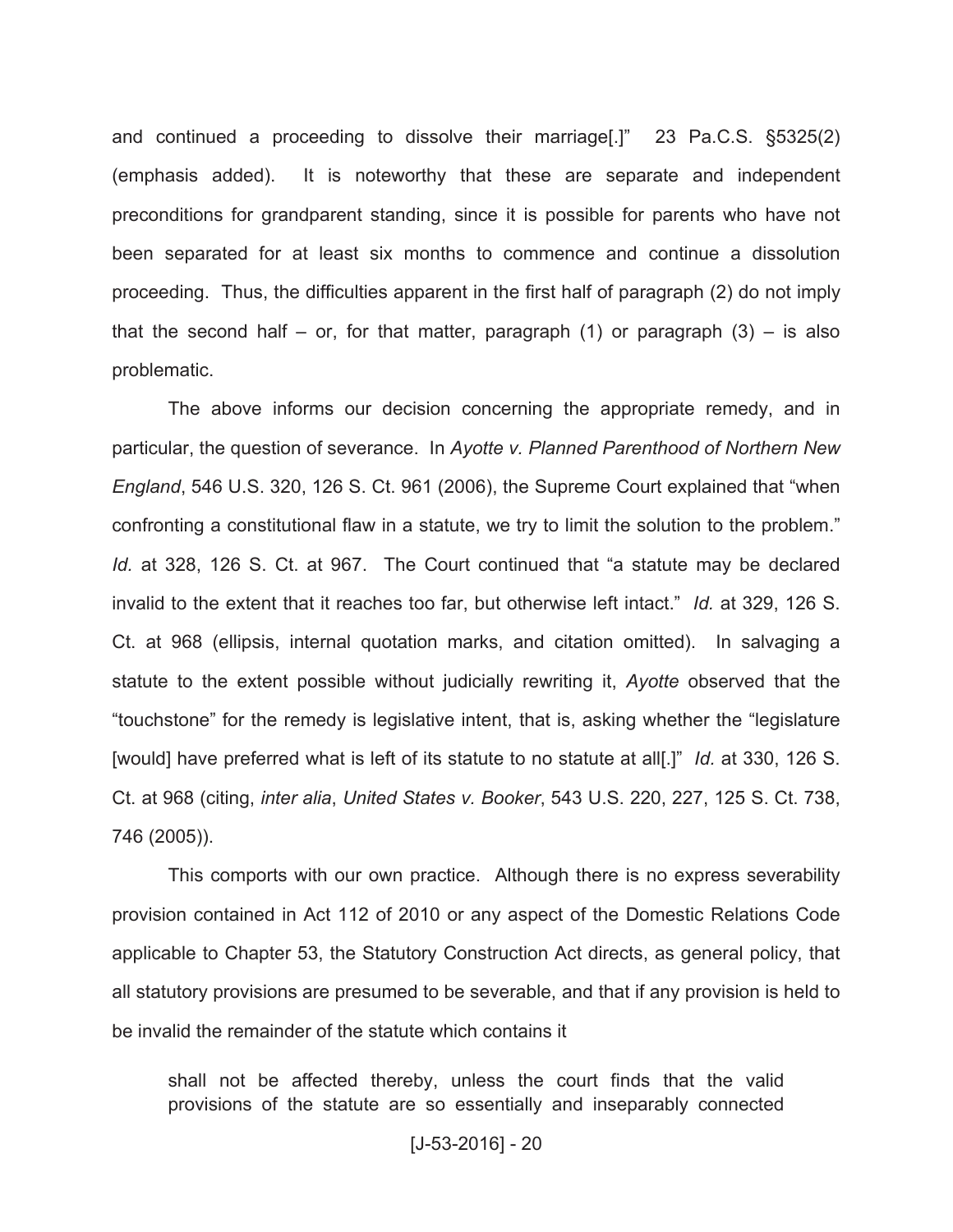and continued a proceeding to dissolve their marriage[.]" 23 Pa.C.S. §5325(2) (emphasis added). It is noteworthy that these are separate and independent preconditions for grandparent standing, since it is possible for parents who have not been separated for at least six months to commence and continue a dissolution proceeding. Thus, the difficulties apparent in the first half of paragraph (2) do not imply that the second half – or, for that matter, paragraph  $(1)$  or paragraph  $(3)$  – is also problematic.

The above informs our decision concerning the appropriate remedy, and in particular, the question of severance. In *Ayotte v. Planned Parenthood of Northern New England*, 546 U.S. 320, 126 S. Ct. 961 (2006), the Supreme Court explained that "when confronting a constitutional flaw in a statute, we try to limit the solution to the problem." *Id.* at 328, 126 S. Ct. at 967. The Court continued that "a statute may be declared invalid to the extent that it reaches too far, but otherwise left intact." *Id.* at 329, 126 S. Ct. at 968 (ellipsis, internal quotation marks, and citation omitted). In salvaging a statute to the extent possible without judicially rewriting it, *Ayotte* observed that the "touchstone" for the remedy is legislative intent, that is, asking whether the "legislature [would] have preferred what is left of its statute to no statute at all[.]" *Id.* at 330, 126 S. Ct. at 968 (citing, *inter alia*, *United States v. Booker*, 543 U.S. 220, 227, 125 S. Ct. 738, 746 (2005)).

This comports with our own practice. Although there is no express severability provision contained in Act 112 of 2010 or any aspect of the Domestic Relations Code applicable to Chapter 53, the Statutory Construction Act directs, as general policy, that all statutory provisions are presumed to be severable, and that if any provision is held to be invalid the remainder of the statute which contains it

shall not be affected thereby, unless the court finds that the valid provisions of the statute are so essentially and inseparably connected

[J-53-2016] - 20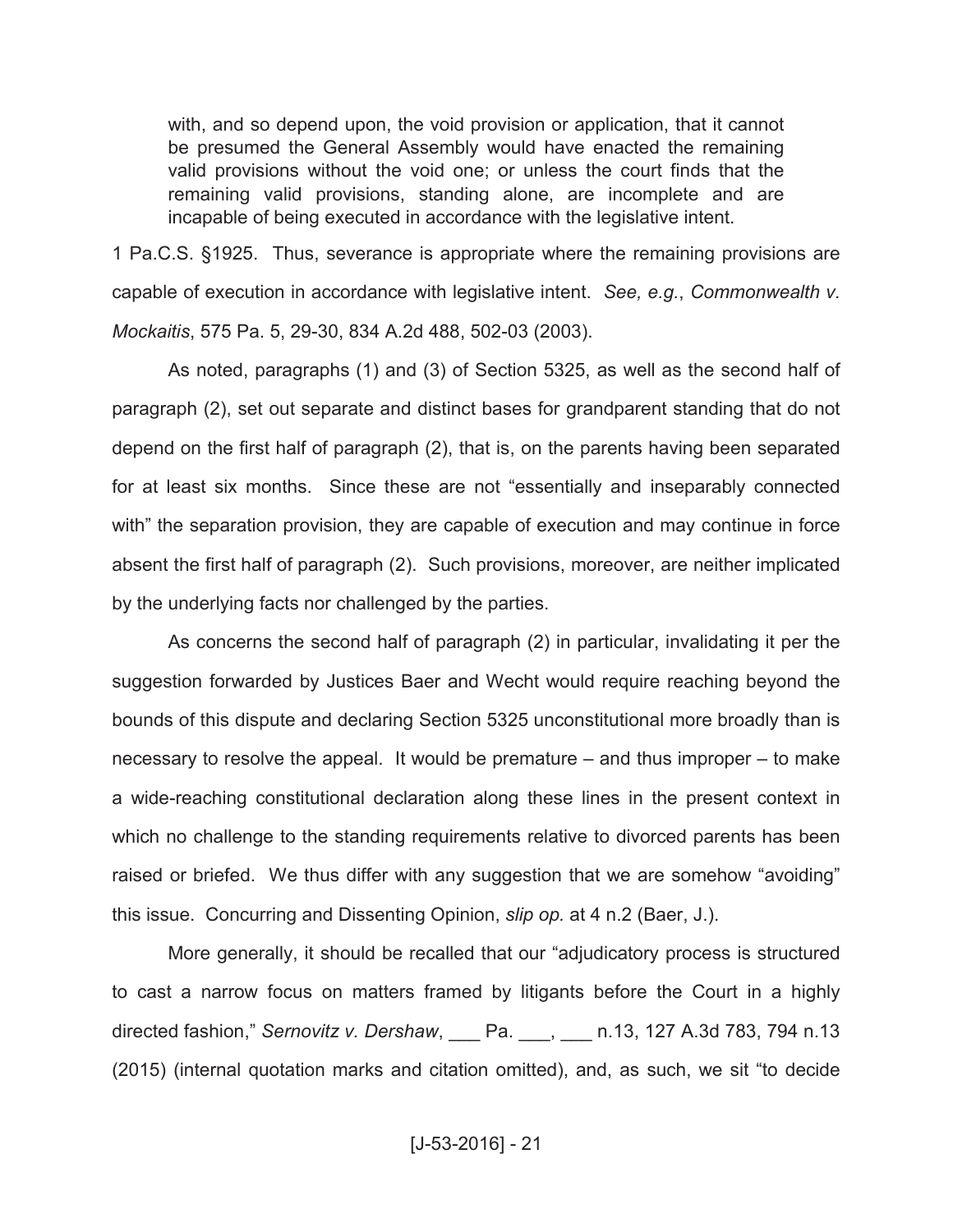with, and so depend upon, the void provision or application, that it cannot be presumed the General Assembly would have enacted the remaining valid provisions without the void one; or unless the court finds that the remaining valid provisions, standing alone, are incomplete and are incapable of being executed in accordance with the legislative intent.

1 Pa.C.S. §1925. Thus, severance is appropriate where the remaining provisions are capable of execution in accordance with legislative intent. *See, e.g.*, *Commonwealth v. Mockaitis*, 575 Pa. 5, 29-30, 834 A.2d 488, 502-03 (2003).

As noted, paragraphs (1) and (3) of Section 5325, as well as the second half of paragraph (2), set out separate and distinct bases for grandparent standing that do not depend on the first half of paragraph (2), that is, on the parents having been separated for at least six months. Since these are not "essentially and inseparably connected with" the separation provision, they are capable of execution and may continue in force absent the first half of paragraph (2). Such provisions, moreover, are neither implicated by the underlying facts nor challenged by the parties.

As concerns the second half of paragraph (2) in particular, invalidating it per the suggestion forwarded by Justices Baer and Wecht would require reaching beyond the bounds of this dispute and declaring Section 5325 unconstitutional more broadly than is necessary to resolve the appeal. It would be premature – and thus improper – to make a wide-reaching constitutional declaration along these lines in the present context in which no challenge to the standing requirements relative to divorced parents has been raised or briefed. We thus differ with any suggestion that we are somehow "avoiding" this issue. Concurring and Dissenting Opinion, *slip op.* at 4 n.2 (Baer, J.).

More generally, it should be recalled that our "adjudicatory process is structured to cast a narrow focus on matters framed by litigants before the Court in a highly directed fashion," *Sernovitz v. Dershaw*, \_\_\_ Pa. \_\_\_, \_\_\_ n.13, 127 A.3d 783, 794 n.13 (2015) (internal quotation marks and citation omitted), and, as such, we sit "to decide